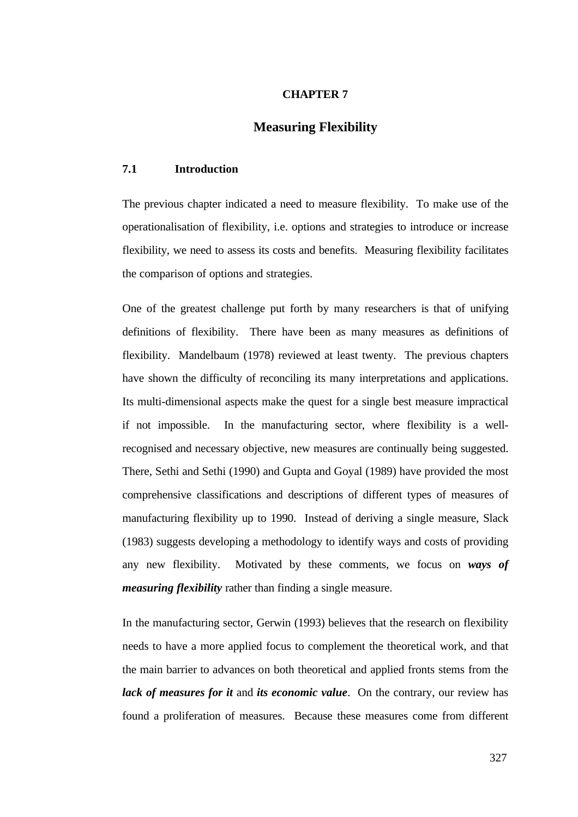### **CHAPTER 7**

# **Measuring Flexibility**

## **7.1 Introduction**

The previous chapter indicated a need to measure flexibility. To make use of the operationalisation of flexibility, i.e. options and strategies to introduce or increase flexibility, we need to assess its costs and benefits. Measuring flexibility facilitates the comparison of options and strategies.

One of the greatest challenge put forth by many researchers is that of unifying definitions of flexibility. There have been as many measures as definitions of flexibility. Mandelbaum (1978) reviewed at least twenty. The previous chapters have shown the difficulty of reconciling its many interpretations and applications. Its multi-dimensional aspects make the quest for a single best measure impractical if not impossible. In the manufacturing sector, where flexibility is a wellrecognised and necessary objective, new measures are continually being suggested. There, Sethi and Sethi (1990) and Gupta and Goyal (1989) have provided the most comprehensive classifications and descriptions of different types of measures of manufacturing flexibility up to 1990. Instead of deriving a single measure, Slack (1983) suggests developing a methodology to identify ways and costs of providing any new flexibility. Motivated by these comments, we focus on *ways of measuring flexibility* rather than finding a single measure.

In the manufacturing sector, Gerwin (1993) believes that the research on flexibility needs to have a more applied focus to complement the theoretical work, and that the main barrier to advances on both theoretical and applied fronts stems from the *lack of measures for it* and *its economic value*. On the contrary, our review has found a proliferation of measures. Because these measures come from different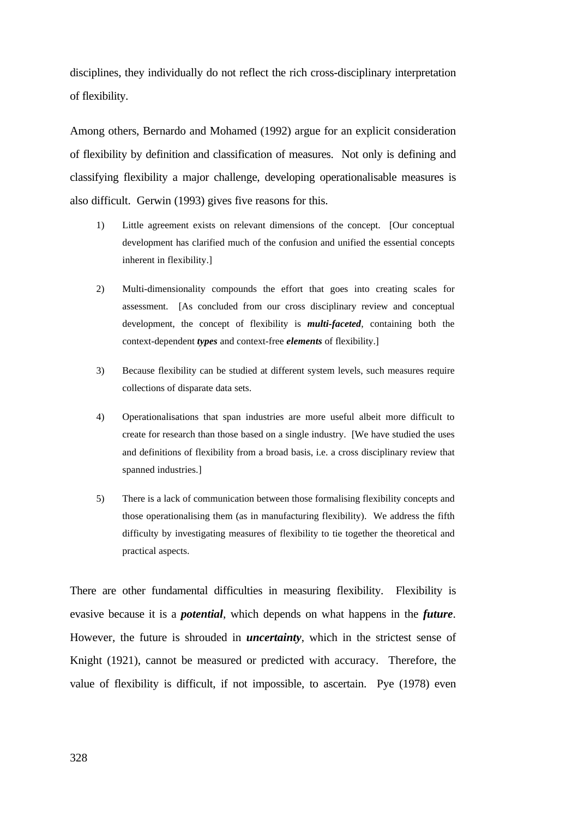disciplines, they individually do not reflect the rich cross-disciplinary interpretation of flexibility.

Among others, Bernardo and Mohamed (1992) argue for an explicit consideration of flexibility by definition and classification of measures. Not only is defining and classifying flexibility a major challenge, developing operationalisable measures is also difficult. Gerwin (1993) gives five reasons for this.

- 1) Little agreement exists on relevant dimensions of the concept. [Our conceptual development has clarified much of the confusion and unified the essential concepts inherent in flexibility.]
- 2) Multi-dimensionality compounds the effort that goes into creating scales for assessment. [As concluded from our cross disciplinary review and conceptual development, the concept of flexibility is *multi-faceted*, containing both the context-dependent *types* and context-free *elements* of flexibility.]
- 3) Because flexibility can be studied at different system levels, such measures require collections of disparate data sets.
- 4) Operationalisations that span industries are more useful albeit more difficult to create for research than those based on a single industry. [We have studied the uses and definitions of flexibility from a broad basis, i.e. a cross disciplinary review that spanned industries.]
- 5) There is a lack of communication between those formalising flexibility concepts and those operationalising them (as in manufacturing flexibility). We address the fifth difficulty by investigating measures of flexibility to tie together the theoretical and practical aspects.

There are other fundamental difficulties in measuring flexibility. Flexibility is evasive because it is a *potential*, which depends on what happens in the *future*. However, the future is shrouded in *uncertainty*, which in the strictest sense of Knight (1921), cannot be measured or predicted with accuracy. Therefore, the value of flexibility is difficult, if not impossible, to ascertain. Pye (1978) even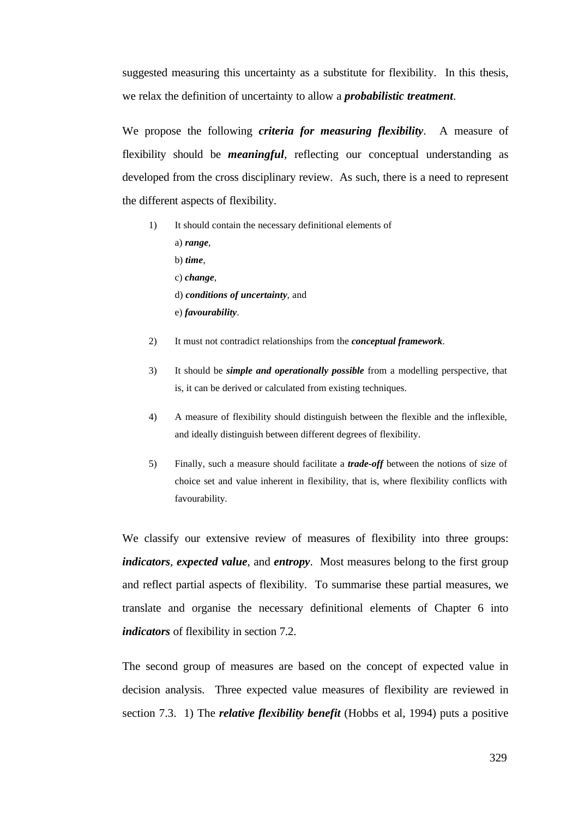suggested measuring this uncertainty as a substitute for flexibility. In this thesis, we relax the definition of uncertainty to allow a *probabilistic treatment*.

We propose the following *criteria for measuring flexibility*. A measure of flexibility should be *meaningful*, reflecting our conceptual understanding as developed from the cross disciplinary review. As such, there is a need to represent the different aspects of flexibility.

- 1) It should contain the necessary definitional elements of a) *range*, b) *time*, c) *change*, d) *conditions of uncertainty*, and e) *favourability*.
- 2) It must not contradict relationships from the *conceptual framework*.
- 3) It should be *simple and operationally possible* from a modelling perspective, that is, it can be derived or calculated from existing techniques.
- 4) A measure of flexibility should distinguish between the flexible and the inflexible, and ideally distinguish between different degrees of flexibility.
- 5) Finally, such a measure should facilitate a *trade-off* between the notions of size of choice set and value inherent in flexibility, that is, where flexibility conflicts with favourability.

We classify our extensive review of measures of flexibility into three groups: *indicators*, *expected value*, and *entropy*. Most measures belong to the first group and reflect partial aspects of flexibility. To summarise these partial measures, we translate and organise the necessary definitional elements of Chapter 6 into *indicators* of flexibility in section 7.2.

The second group of measures are based on the concept of expected value in decision analysis. Three expected value measures of flexibility are reviewed in section 7.3. 1) The *relative flexibility benefit* (Hobbs et al, 1994) puts a positive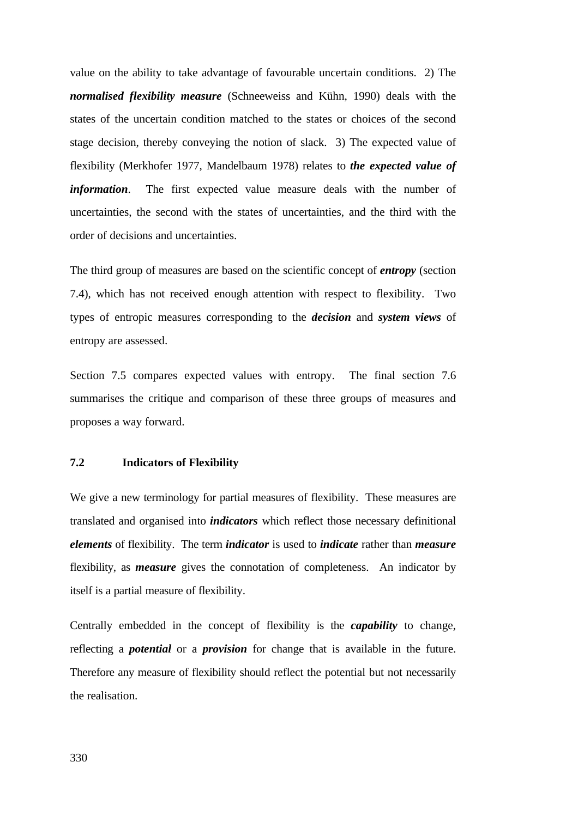value on the ability to take advantage of favourable uncertain conditions. 2) The *normalised flexibility measure* (Schneeweiss and Kühn, 1990) deals with the states of the uncertain condition matched to the states or choices of the second stage decision, thereby conveying the notion of slack. 3) The expected value of flexibility (Merkhofer 1977, Mandelbaum 1978) relates to *the expected value of information*. The first expected value measure deals with the number of uncertainties, the second with the states of uncertainties, and the third with the order of decisions and uncertainties.

The third group of measures are based on the scientific concept of *entropy* (section 7.4), which has not received enough attention with respect to flexibility. Two types of entropic measures corresponding to the *decision* and *system views* of entropy are assessed.

Section 7.5 compares expected values with entropy. The final section 7.6 summarises the critique and comparison of these three groups of measures and proposes a way forward.

# **7.2 Indicators of Flexibility**

We give a new terminology for partial measures of flexibility. These measures are translated and organised into *indicators* which reflect those necessary definitional *elements* of flexibility. The term *indicator* is used to *indicate* rather than *measure* flexibility, as *measure* gives the connotation of completeness. An indicator by itself is a partial measure of flexibility.

Centrally embedded in the concept of flexibility is the *capability* to change, reflecting a *potential* or a *provision* for change that is available in the future. Therefore any measure of flexibility should reflect the potential but not necessarily the realisation.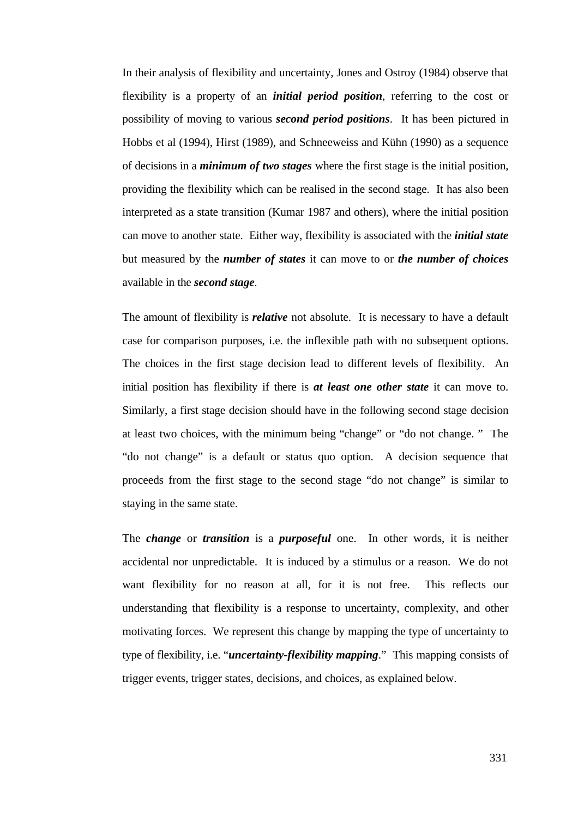In their analysis of flexibility and uncertainty, Jones and Ostroy (1984) observe that flexibility is a property of an *initial period position*, referring to the cost or possibility of moving to various *second period positions*. It has been pictured in Hobbs et al (1994), Hirst (1989), and Schneeweiss and Kühn (1990) as a sequence of decisions in a *minimum of two stages* where the first stage is the initial position, providing the flexibility which can be realised in the second stage. It has also been interpreted as a state transition (Kumar 1987 and others), where the initial position can move to another state. Either way, flexibility is associated with the *initial state* but measured by the *number of states* it can move to or *the number of choices* available in the *second stage.*

The amount of flexibility is *relative* not absolute. It is necessary to have a default case for comparison purposes, i.e. the inflexible path with no subsequent options. The choices in the first stage decision lead to different levels of flexibility. An initial position has flexibility if there is *at least one other state* it can move to. Similarly, a first stage decision should have in the following second stage decision at least two choices, with the minimum being "change" or "do not change. " The "do not change" is a default or status quo option. A decision sequence that proceeds from the first stage to the second stage "do not change" is similar to staying in the same state.

The *change* or *transition* is a *purposeful* one. In other words, it is neither accidental nor unpredictable. It is induced by a stimulus or a reason. We do not want flexibility for no reason at all, for it is not free. This reflects our understanding that flexibility is a response to uncertainty, complexity, and other motivating forces. We represent this change by mapping the type of uncertainty to type of flexibility, i.e. "*uncertainty-flexibility mapping*." This mapping consists of trigger events, trigger states, decisions, and choices, as explained below.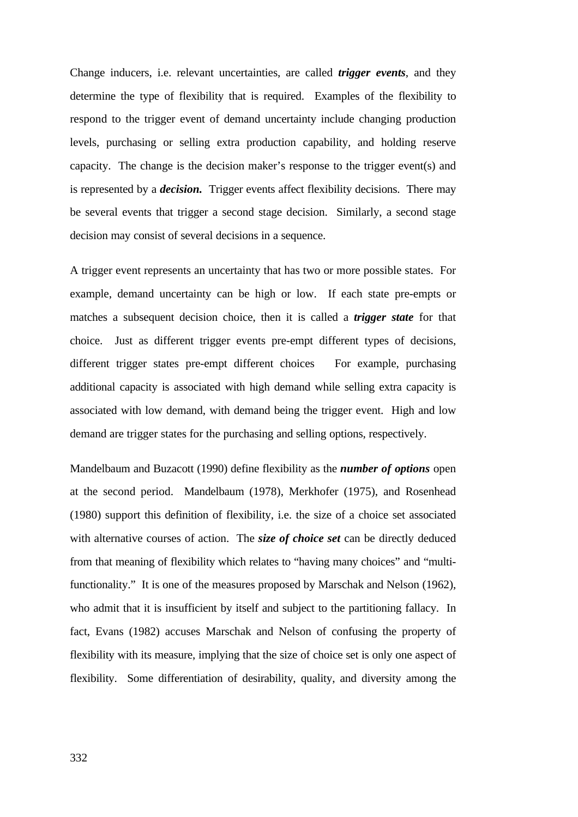Change inducers, i.e. relevant uncertainties, are called *trigger events*, and they determine the type of flexibility that is required. Examples of the flexibility to respond to the trigger event of demand uncertainty include changing production levels, purchasing or selling extra production capability, and holding reserve capacity. The change is the decision maker's response to the trigger event(s) and is represented by a *decision.* Trigger events affect flexibility decisions. There may be several events that trigger a second stage decision. Similarly, a second stage decision may consist of several decisions in a sequence.

A trigger event represents an uncertainty that has two or more possible states. For example, demand uncertainty can be high or low. If each state pre-empts or matches a subsequent decision choice, then it is called a *trigger state* for that choice. Just as different trigger events pre-empt different types of decisions, different trigger states pre-empt different choices For example, purchasing additional capacity is associated with high demand while selling extra capacity is associated with low demand, with demand being the trigger event. High and low demand are trigger states for the purchasing and selling options, respectively.

Mandelbaum and Buzacott (1990) define flexibility as the *number of options* open at the second period. Mandelbaum (1978), Merkhofer (1975), and Rosenhead (1980) support this definition of flexibility, i.e. the size of a choice set associated with alternative courses of action. The *size of choice set* can be directly deduced from that meaning of flexibility which relates to "having many choices" and "multifunctionality." It is one of the measures proposed by Marschak and Nelson (1962), who admit that it is insufficient by itself and subject to the partitioning fallacy. In fact, Evans (1982) accuses Marschak and Nelson of confusing the property of flexibility with its measure, implying that the size of choice set is only one aspect of flexibility. Some differentiation of desirability, quality, and diversity among the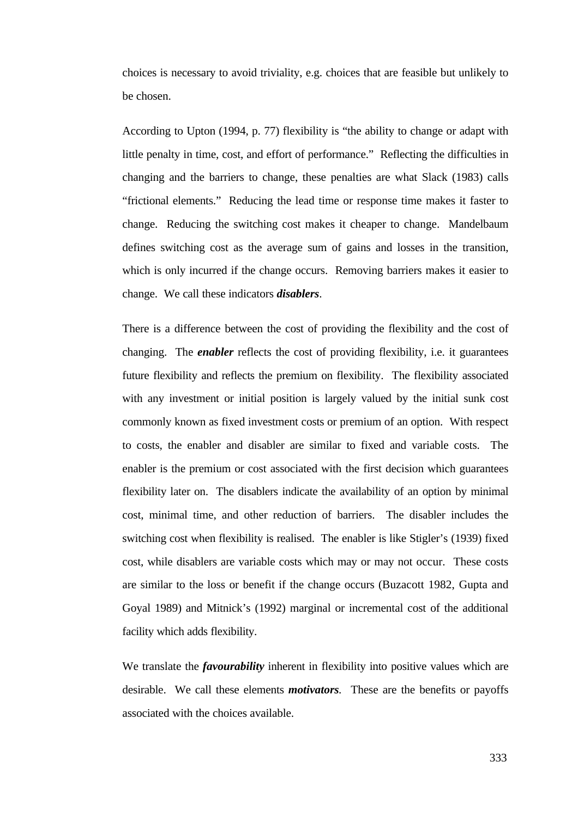choices is necessary to avoid triviality, e.g. choices that are feasible but unlikely to be chosen.

According to Upton (1994, p. 77) flexibility is "the ability to change or adapt with little penalty in time, cost, and effort of performance." Reflecting the difficulties in changing and the barriers to change, these penalties are what Slack (1983) calls "frictional elements." Reducing the lead time or response time makes it faster to change. Reducing the switching cost makes it cheaper to change. Mandelbaum defines switching cost as the average sum of gains and losses in the transition, which is only incurred if the change occurs. Removing barriers makes it easier to change. We call these indicators *disablers*.

There is a difference between the cost of providing the flexibility and the cost of changing. The *enabler* reflects the cost of providing flexibility, i.e. it guarantees future flexibility and reflects the premium on flexibility. The flexibility associated with any investment or initial position is largely valued by the initial sunk cost commonly known as fixed investment costs or premium of an option. With respect to costs, the enabler and disabler are similar to fixed and variable costs. The enabler is the premium or cost associated with the first decision which guarantees flexibility later on. The disablers indicate the availability of an option by minimal cost, minimal time, and other reduction of barriers. The disabler includes the switching cost when flexibility is realised. The enabler is like Stigler's (1939) fixed cost, while disablers are variable costs which may or may not occur. These costs are similar to the loss or benefit if the change occurs (Buzacott 1982, Gupta and Goyal 1989) and Mitnick's (1992) marginal or incremental cost of the additional facility which adds flexibility.

We translate the *favourability* inherent in flexibility into positive values which are desirable. We call these elements *motivators.* These are the benefits or payoffs associated with the choices available.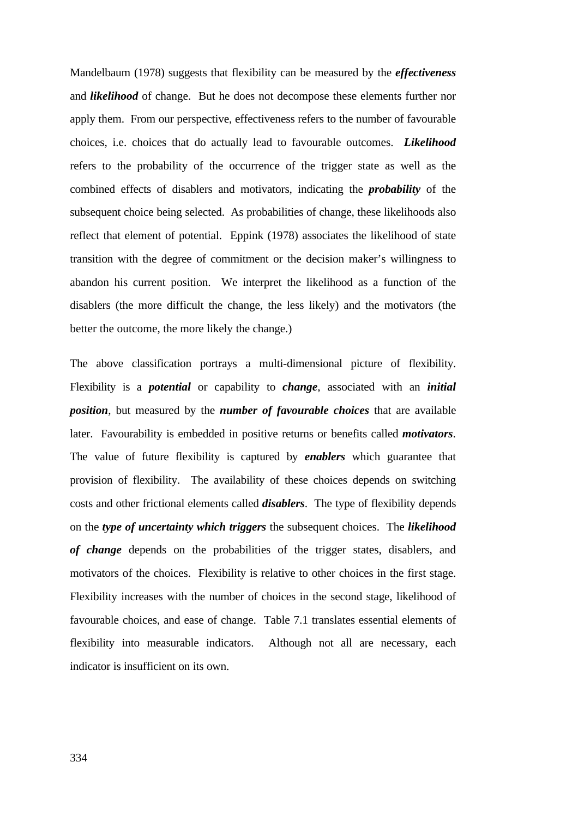Mandelbaum (1978) suggests that flexibility can be measured by the *effectiveness* and *likelihood* of change. But he does not decompose these elements further nor apply them. From our perspective, effectiveness refers to the number of favourable choices, i.e. choices that do actually lead to favourable outcomes. *Likelihood* refers to the probability of the occurrence of the trigger state as well as the combined effects of disablers and motivators, indicating the *probability* of the subsequent choice being selected. As probabilities of change, these likelihoods also reflect that element of potential. Eppink (1978) associates the likelihood of state transition with the degree of commitment or the decision maker's willingness to abandon his current position. We interpret the likelihood as a function of the disablers (the more difficult the change, the less likely) and the motivators (the better the outcome, the more likely the change.)

The above classification portrays a multi-dimensional picture of flexibility. Flexibility is a *potential* or capability to *change*, associated with an *initial position*, but measured by the *number of favourable choices* that are available later. Favourability is embedded in positive returns or benefits called *motivators*. The value of future flexibility is captured by *enablers* which guarantee that provision of flexibility. The availability of these choices depends on switching costs and other frictional elements called *disablers*. The type of flexibility depends on the *type of uncertainty which triggers* the subsequent choices. The *likelihood of change* depends on the probabilities of the trigger states, disablers, and motivators of the choices. Flexibility is relative to other choices in the first stage. Flexibility increases with the number of choices in the second stage, likelihood of favourable choices, and ease of change. Table 7.1 translates essential elements of flexibility into measurable indicators. Although not all are necessary, each indicator is insufficient on its own.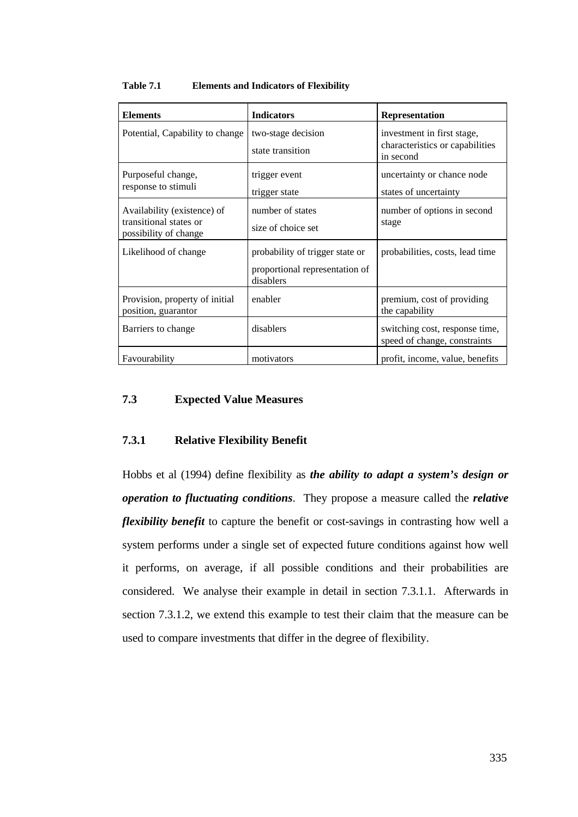| <b>Elements</b>                                                                | <b>Indicators</b>                                                              | <b>Representation</b>                                                      |
|--------------------------------------------------------------------------------|--------------------------------------------------------------------------------|----------------------------------------------------------------------------|
| Potential, Capability to change                                                | two-stage decision<br>state transition                                         | investment in first stage,<br>characteristics or capabilities<br>in second |
| Purposeful change,<br>response to stimuli                                      | trigger event<br>trigger state                                                 | uncertainty or chance node<br>states of uncertainty                        |
| Availability (existence) of<br>transitional states or<br>possibility of change | number of states<br>size of choice set                                         | number of options in second<br>stage                                       |
| Likelihood of change                                                           | probability of trigger state or<br>proportional representation of<br>disablers | probabilities, costs, lead time                                            |
| Provision, property of initial<br>position, guarantor                          | enabler                                                                        | premium, cost of providing<br>the capability                               |
| Barriers to change                                                             | disablers                                                                      | switching cost, response time,<br>speed of change, constraints             |
| Favourability                                                                  | motivators                                                                     | profit, income, value, benefits                                            |

#### **Table 7.1 Elements and Indicators of Flexibility**

# **7.3 Expected Value Measures**

# **7.3.1 Relative Flexibility Benefit**

Hobbs et al (1994) define flexibility as *the ability to adapt a system's design or operation to fluctuating conditions*. They propose a measure called the *relative flexibility benefit* to capture the benefit or cost-savings in contrasting how well a system performs under a single set of expected future conditions against how well it performs, on average, if all possible conditions and their probabilities are considered. We analyse their example in detail in section 7.3.1.1. Afterwards in section 7.3.1.2, we extend this example to test their claim that the measure can be used to compare investments that differ in the degree of flexibility.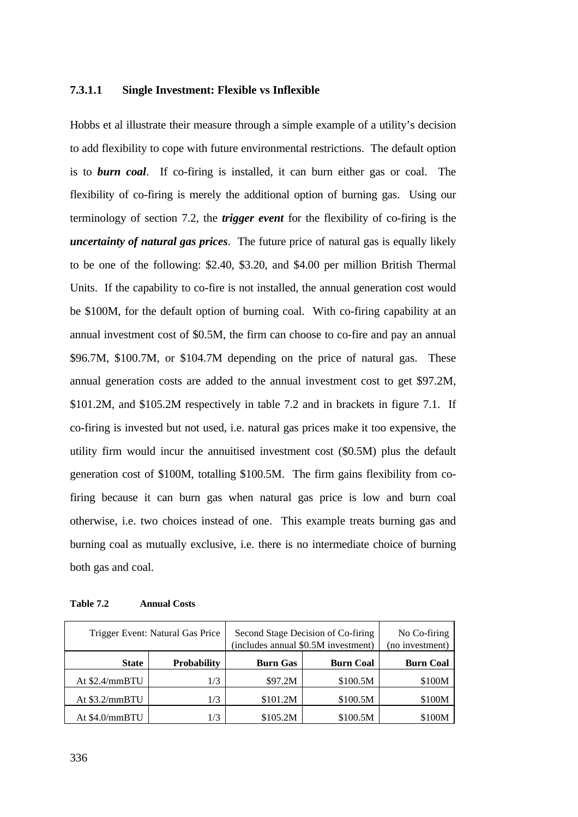#### **7.3.1.1 Single Investment: Flexible vs Inflexible**

Hobbs et al illustrate their measure through a simple example of a utility's decision to add flexibility to cope with future environmental restrictions. The default option is to *burn coal*. If co-firing is installed, it can burn either gas or coal. The flexibility of co-firing is merely the additional option of burning gas. Using our terminology of section 7.2, the *trigger event* for the flexibility of co-firing is the *uncertainty of natural gas prices*. The future price of natural gas is equally likely to be one of the following: \$2.40, \$3.20, and \$4.00 per million British Thermal Units. If the capability to co-fire is not installed, the annual generation cost would be \$100M, for the default option of burning coal. With co-firing capability at an annual investment cost of \$0.5M, the firm can choose to co-fire and pay an annual \$96.7M, \$100.7M, or \$104.7M depending on the price of natural gas. These annual generation costs are added to the annual investment cost to get \$97.2M, \$101.2M, and \$105.2M respectively in table 7.2 and in brackets in figure 7.1. If co-firing is invested but not used, i.e. natural gas prices make it too expensive, the utility firm would incur the annuitised investment cost (\$0.5M) plus the default generation cost of \$100M, totalling \$100.5M. The firm gains flexibility from cofiring because it can burn gas when natural gas price is low and burn coal otherwise, i.e. two choices instead of one. This example treats burning gas and burning coal as mutually exclusive, i.e. there is no intermediate choice of burning both gas and coal.

| Table 7.2 | <b>Annual Costs</b> |  |
|-----------|---------------------|--|
|-----------|---------------------|--|

| Trigger Event: Natural Gas Price |                    | Second Stage Decision of Co-firing<br>(includes annual \$0.5M investment) | No Co-firing<br>(no investment) |                  |
|----------------------------------|--------------------|---------------------------------------------------------------------------|---------------------------------|------------------|
| <b>State</b>                     | <b>Probability</b> | <b>Burn Coal</b><br><b>Burn Gas</b>                                       |                                 | <b>Burn Coal</b> |
| At \$2.4/mmBTU                   | 1/3                | \$97.2M                                                                   | \$100.5M                        | \$100M           |
| At $$3.2/mmBTU$                  | 1/3                | \$101.2M                                                                  | \$100.5M                        | \$100M           |
| At \$4.0/mmBTU                   | 1/3                | \$105.2M                                                                  | \$100.5M                        | \$100M           |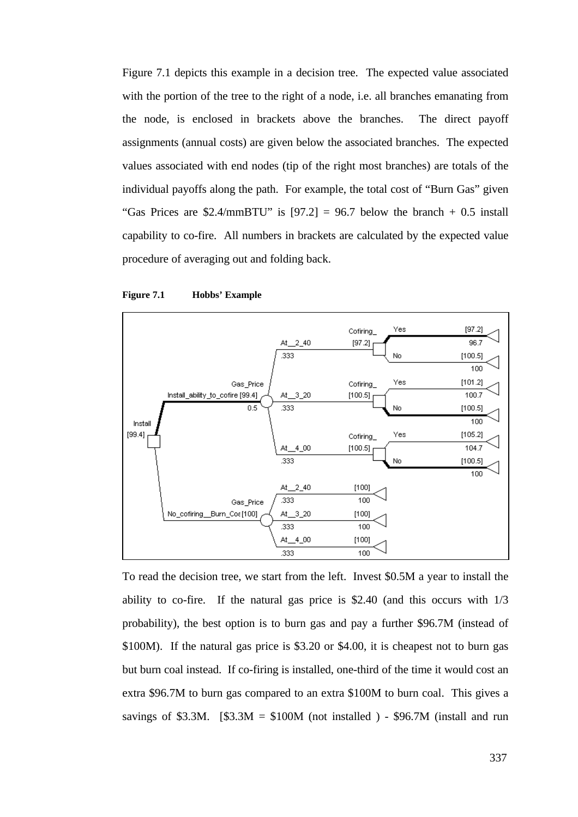Figure 7.1 depicts this example in a decision tree. The expected value associated with the portion of the tree to the right of a node, i.e. all branches emanating from the node, is enclosed in brackets above the branches. The direct payoff assignments (annual costs) are given below the associated branches. The expected values associated with end nodes (tip of the right most branches) are totals of the individual payoffs along the path. For example, the total cost of "Burn Gas" given "Gas Prices are \$2.4/mmBTU" is  $[97.2] = 96.7$  below the branch  $+ 0.5$  install capability to co-fire. All numbers in brackets are calculated by the expected value procedure of averaging out and folding back.





To read the decision tree, we start from the left. Invest \$0.5M a year to install the ability to co-fire. If the natural gas price is \$2.40 (and this occurs with 1/3 probability), the best option is to burn gas and pay a further \$96.7M (instead of \$100M). If the natural gas price is \$3.20 or \$4.00, it is cheapest not to burn gas but burn coal instead. If co-firing is installed, one-third of the time it would cost an extra \$96.7M to burn gas compared to an extra \$100M to burn coal. This gives a savings of \$3.3M. [\$3.3M =  $$100M$  (not installed ) - \$96.7M (install and run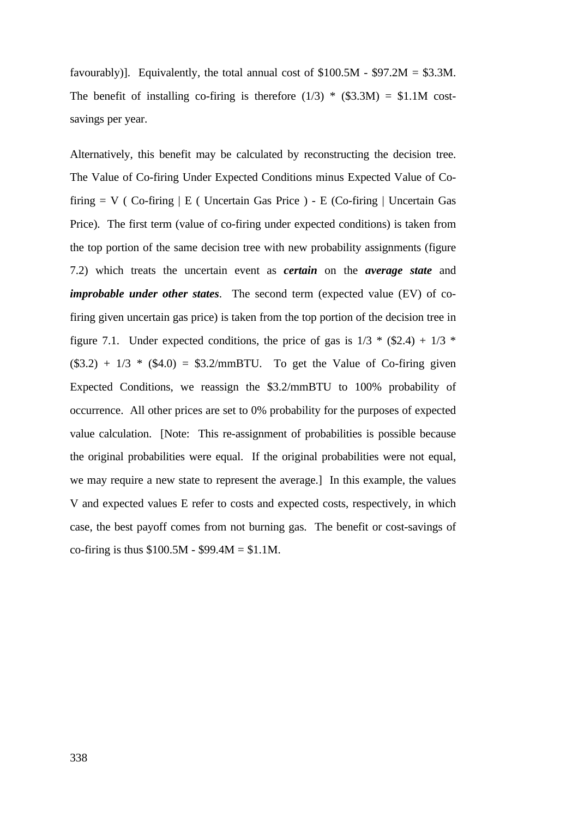favourably)]. Equivalently, the total annual cost of  $$100.5M - $97.2M = $3.3M$ . The benefit of installing co-firing is therefore  $(1/3)$  \*  $(\$3.3M) = \$1.1M$  costsavings per year.

Alternatively, this benefit may be calculated by reconstructing the decision tree. The Value of Co-firing Under Expected Conditions minus Expected Value of Cofiring  $= V$  ( Co-firing  $\vert E \vert$  Uncertain Gas Price ) - E (Co-firing  $\vert$  Uncertain Gas Price). The first term (value of co-firing under expected conditions) is taken from the top portion of the same decision tree with new probability assignments (figure 7.2) which treats the uncertain event as *certain* on the *average state* and *improbable under other states*. The second term (expected value (EV) of cofiring given uncertain gas price) is taken from the top portion of the decision tree in figure 7.1. Under expected conditions, the price of gas is  $1/3$  \* (\$2.4) +  $1/3$  \*  $($3.2) + 1/3 * ($4.0) = $3.2/\text{mm}$ BTU. To get the Value of Co-firing given Expected Conditions, we reassign the \$3.2/mmBTU to 100% probability of occurrence. All other prices are set to 0% probability for the purposes of expected value calculation. [Note: This re-assignment of probabilities is possible because the original probabilities were equal. If the original probabilities were not equal, we may require a new state to represent the average.] In this example, the values V and expected values E refer to costs and expected costs, respectively, in which case, the best payoff comes from not burning gas. The benefit or cost-savings of co-firing is thus  $$100.5M - $99.4M = $1.1M$ .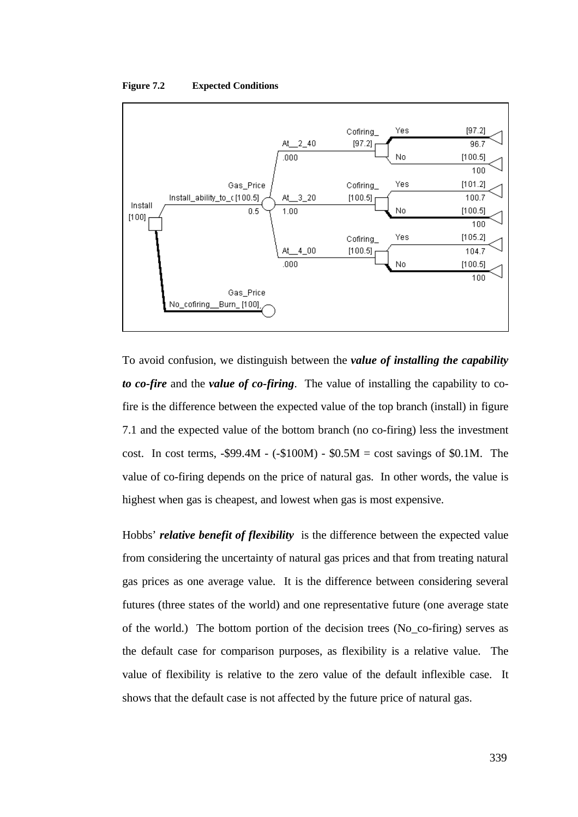#### **Figure 7.2 Expected Conditions**



To avoid confusion, we distinguish between the *value of installing the capability to co-fire* and the *value of co-firing*. The value of installing the capability to cofire is the difference between the expected value of the top branch (install) in figure 7.1 and the expected value of the bottom branch (no co-firing) less the investment cost. In cost terms,  $-$ \$99.4M -  $(-$100M) - $0.5M = \text{cost savings of $0.1M}$ . The value of co-firing depends on the price of natural gas. In other words, the value is highest when gas is cheapest, and lowest when gas is most expensive.

Hobbs' *relative benefit of flexibility* is the difference between the expected value from considering the uncertainty of natural gas prices and that from treating natural gas prices as one average value. It is the difference between considering several futures (three states of the world) and one representative future (one average state of the world.) The bottom portion of the decision trees (No\_co-firing) serves as the default case for comparison purposes, as flexibility is a relative value. The value of flexibility is relative to the zero value of the default inflexible case. It shows that the default case is not affected by the future price of natural gas.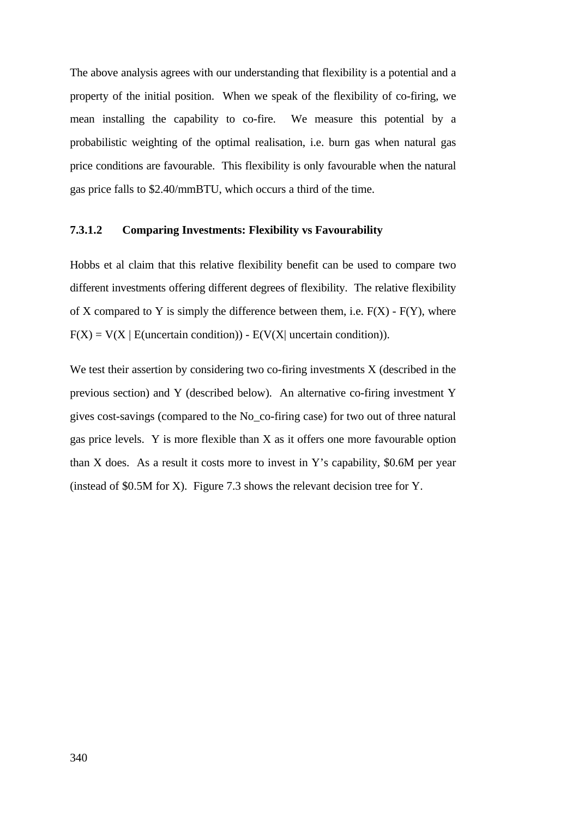The above analysis agrees with our understanding that flexibility is a potential and a property of the initial position. When we speak of the flexibility of co-firing, we mean installing the capability to co-fire. We measure this potential by a probabilistic weighting of the optimal realisation, i.e. burn gas when natural gas price conditions are favourable. This flexibility is only favourable when the natural gas price falls to \$2.40/mmBTU, which occurs a third of the time.

### **7.3.1.2 Comparing Investments: Flexibility vs Favourability**

Hobbs et al claim that this relative flexibility benefit can be used to compare two different investments offering different degrees of flexibility. The relative flexibility of X compared to Y is simply the difference between them, i.e.  $F(X)$  -  $F(Y)$ , where  $F(X) = V(X | E(uncertain condition)) - E(V(X) uncertain condition)).$ 

We test their assertion by considering two co-firing investments X (described in the previous section) and Y (described below). An alternative co-firing investment Y gives cost-savings (compared to the No\_co-firing case) for two out of three natural gas price levels. Y is more flexible than X as it offers one more favourable option than X does. As a result it costs more to invest in Y's capability, \$0.6M per year (instead of \$0.5M for X). Figure 7.3 shows the relevant decision tree for Y.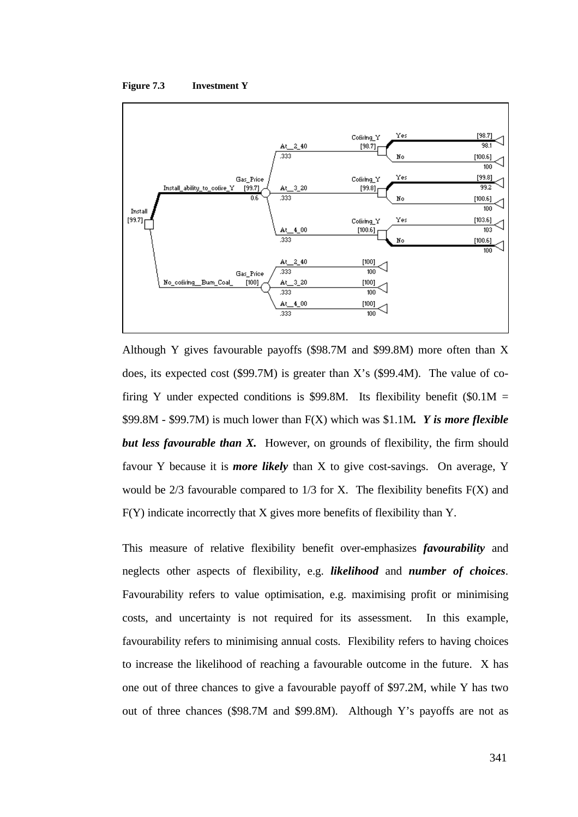



Although Y gives favourable payoffs (\$98.7M and \$99.8M) more often than X does, its expected cost (\$99.7M) is greater than X's (\$99.4M). The value of cofiring Y under expected conditions is \$99.8M. Its flexibility benefit (\$0.1M = \$99.8M - \$99.7M) is much lower than F(X) which was \$1.1M*. Y is more flexible but less favourable than X.* However, on grounds of flexibility, the firm should favour Y because it is *more likely* than X to give cost-savings. On average, Y would be  $2/3$  favourable compared to  $1/3$  for X. The flexibility benefits  $F(X)$  and F(Y) indicate incorrectly that X gives more benefits of flexibility than Y.

This measure of relative flexibility benefit over-emphasizes *favourability* and neglects other aspects of flexibility, e.g. *likelihood* and *number of choices*. Favourability refers to value optimisation, e.g. maximising profit or minimising costs, and uncertainty is not required for its assessment. In this example, favourability refers to minimising annual costs. Flexibility refers to having choices to increase the likelihood of reaching a favourable outcome in the future. X has one out of three chances to give a favourable payoff of \$97.2M, while Y has two out of three chances (\$98.7M and \$99.8M). Although Y's payoffs are not as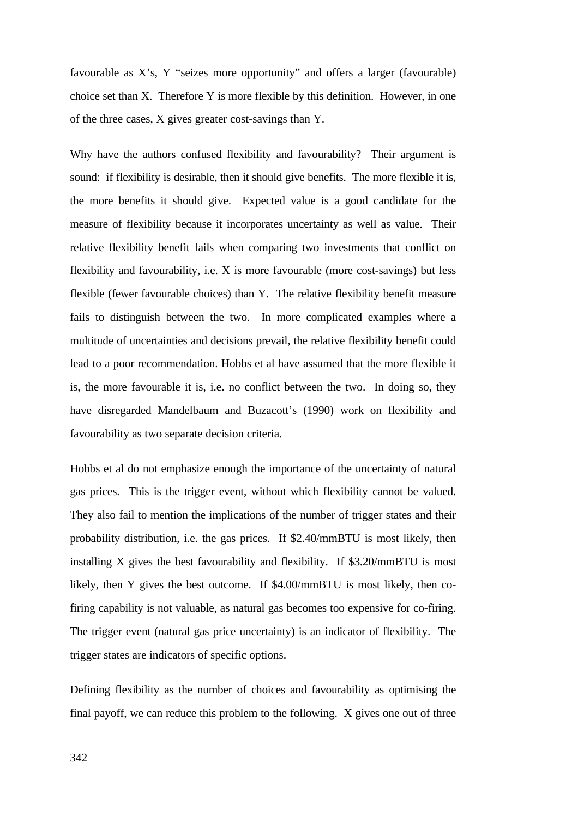favourable as X's, Y "seizes more opportunity" and offers a larger (favourable) choice set than X. Therefore Y is more flexible by this definition. However, in one of the three cases, X gives greater cost-savings than Y.

Why have the authors confused flexibility and favourability? Their argument is sound: if flexibility is desirable, then it should give benefits. The more flexible it is, the more benefits it should give. Expected value is a good candidate for the measure of flexibility because it incorporates uncertainty as well as value. Their relative flexibility benefit fails when comparing two investments that conflict on flexibility and favourability, i.e. X is more favourable (more cost-savings) but less flexible (fewer favourable choices) than Y. The relative flexibility benefit measure fails to distinguish between the two. In more complicated examples where a multitude of uncertainties and decisions prevail, the relative flexibility benefit could lead to a poor recommendation. Hobbs et al have assumed that the more flexible it is, the more favourable it is, i.e. no conflict between the two. In doing so, they have disregarded Mandelbaum and Buzacott's (1990) work on flexibility and favourability as two separate decision criteria.

Hobbs et al do not emphasize enough the importance of the uncertainty of natural gas prices. This is the trigger event, without which flexibility cannot be valued. They also fail to mention the implications of the number of trigger states and their probability distribution, i.e. the gas prices. If \$2.40/mmBTU is most likely, then installing X gives the best favourability and flexibility. If \$3.20/mmBTU is most likely, then Y gives the best outcome. If \$4.00/mmBTU is most likely, then cofiring capability is not valuable, as natural gas becomes too expensive for co-firing. The trigger event (natural gas price uncertainty) is an indicator of flexibility. The trigger states are indicators of specific options.

Defining flexibility as the number of choices and favourability as optimising the final payoff, we can reduce this problem to the following. X gives one out of three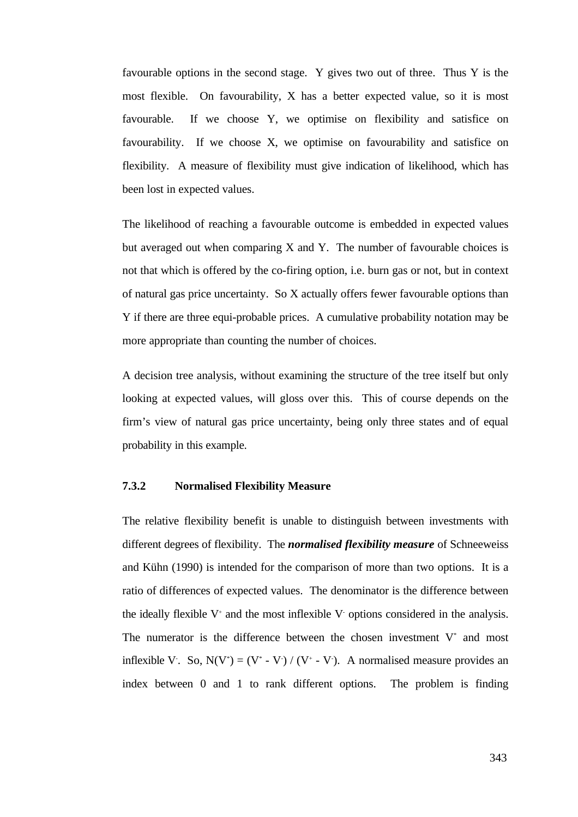favourable options in the second stage. Y gives two out of three. Thus Y is the most flexible. On favourability, X has a better expected value, so it is most favourable. If we choose Y, we optimise on flexibility and satisfice on favourability. If we choose X, we optimise on favourability and satisfice on flexibility. A measure of flexibility must give indication of likelihood, which has been lost in expected values.

The likelihood of reaching a favourable outcome is embedded in expected values but averaged out when comparing  $X$  and  $Y$ . The number of favourable choices is not that which is offered by the co-firing option, i.e. burn gas or not, but in context of natural gas price uncertainty. So X actually offers fewer favourable options than Y if there are three equi-probable prices. A cumulative probability notation may be more appropriate than counting the number of choices.

A decision tree analysis, without examining the structure of the tree itself but only looking at expected values, will gloss over this. This of course depends on the firm's view of natural gas price uncertainty, being only three states and of equal probability in this example.

## **7.3.2 Normalised Flexibility Measure**

The relative flexibility benefit is unable to distinguish between investments with different degrees of flexibility. The *normalised flexibility measure* of Schneeweiss and Kühn (1990) is intended for the comparison of more than two options. It is a ratio of differences of expected values. The denominator is the difference between the ideally flexible  $V^+$  and the most inflexible V options considered in the analysis. The numerator is the difference between the chosen investment  $V^*$  and most inflexible V. So,  $N(V^*) = (V^* - V) / (V^* - V)$ . A normalised measure provides an index between 0 and 1 to rank different options. The problem is finding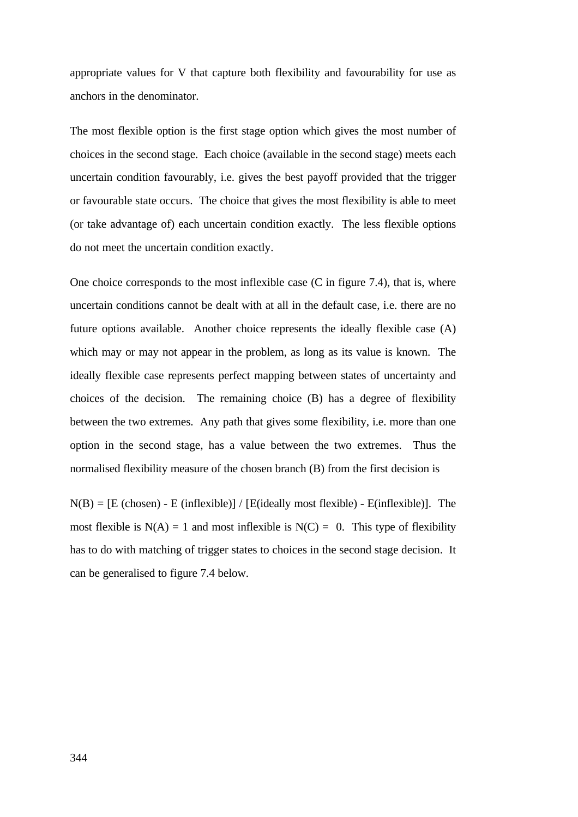appropriate values for V that capture both flexibility and favourability for use as anchors in the denominator.

The most flexible option is the first stage option which gives the most number of choices in the second stage. Each choice (available in the second stage) meets each uncertain condition favourably, i.e. gives the best payoff provided that the trigger or favourable state occurs. The choice that gives the most flexibility is able to meet (or take advantage of) each uncertain condition exactly. The less flexible options do not meet the uncertain condition exactly.

One choice corresponds to the most inflexible case (C in figure 7.4), that is, where uncertain conditions cannot be dealt with at all in the default case, i.e. there are no future options available. Another choice represents the ideally flexible case (A) which may or may not appear in the problem, as long as its value is known. The ideally flexible case represents perfect mapping between states of uncertainty and choices of the decision. The remaining choice (B) has a degree of flexibility between the two extremes. Any path that gives some flexibility, i.e. more than one option in the second stage, has a value between the two extremes. Thus the normalised flexibility measure of the chosen branch (B) from the first decision is

 $N(B) = [E \text{ (chosen)} - E \text{ (inflexible)}] / [E(\text{ideally most flexible}) - E(\text{inflexible})]$ . The most flexible is  $N(A) = 1$  and most inflexible is  $N(C) = 0$ . This type of flexibility has to do with matching of trigger states to choices in the second stage decision. It can be generalised to figure 7.4 below.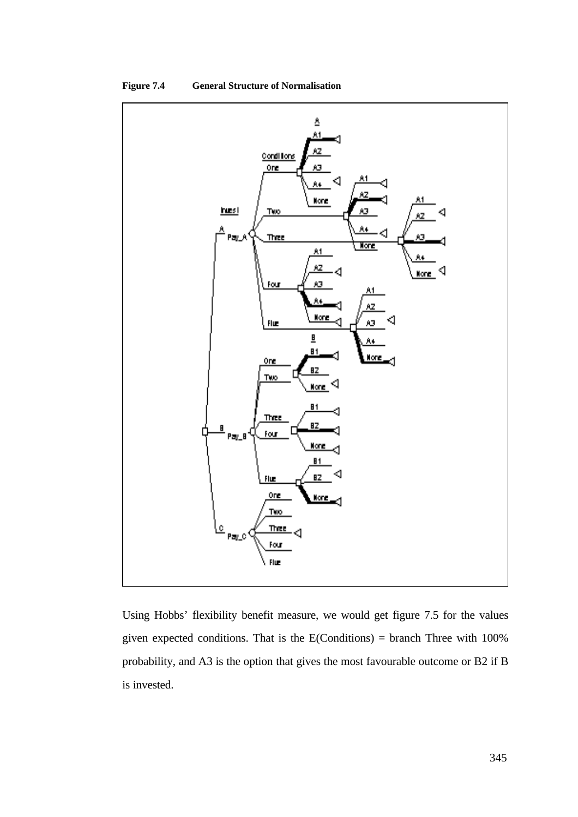



Using Hobbs' flexibility benefit measure, we would get figure 7.5 for the values given expected conditions. That is the E(Conditions) = branch Three with 100% probability, and A3 is the option that gives the most favourable outcome or B2 if B is invested.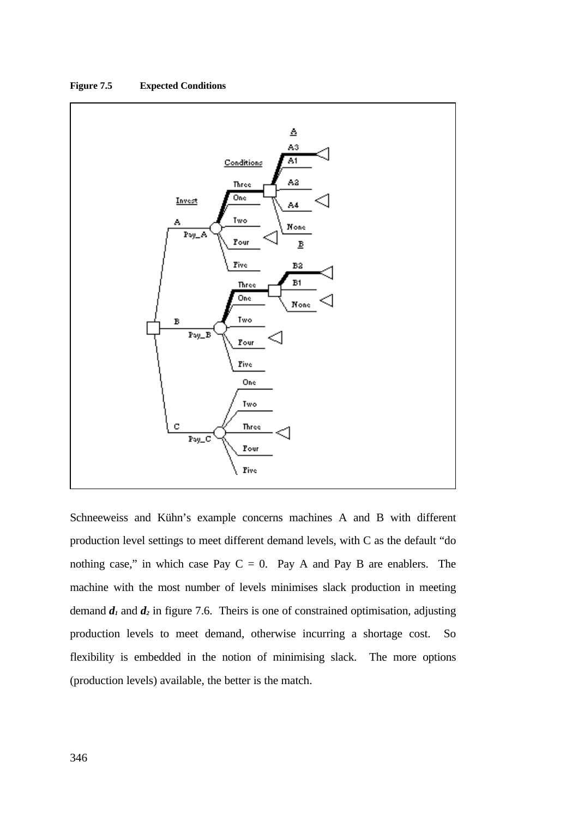

# **Figure 7.5 Expected Conditions**

Schneeweiss and Kühn's example concerns machines A and B with different production level settings to meet different demand levels, with C as the default "do nothing case," in which case Pay  $C = 0$ . Pay A and Pay B are enablers. The machine with the most number of levels minimises slack production in meeting demand  $d_1$  and  $d_2$  in figure 7.6. Theirs is one of constrained optimisation, adjusting production levels to meet demand, otherwise incurring a shortage cost. So flexibility is embedded in the notion of minimising slack. The more options (production levels) available, the better is the match.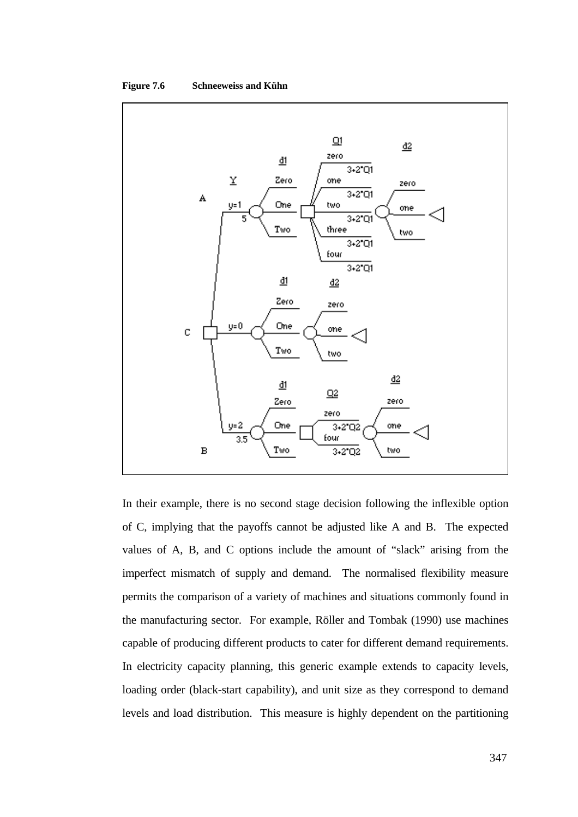



In their example, there is no second stage decision following the inflexible option of C, implying that the payoffs cannot be adjusted like A and B. The expected values of A, B, and C options include the amount of "slack" arising from the imperfect mismatch of supply and demand. The normalised flexibility measure permits the comparison of a variety of machines and situations commonly found in the manufacturing sector. For example, Röller and Tombak (1990) use machines capable of producing different products to cater for different demand requirements. In electricity capacity planning, this generic example extends to capacity levels, loading order (black-start capability), and unit size as they correspond to demand levels and load distribution. This measure is highly dependent on the partitioning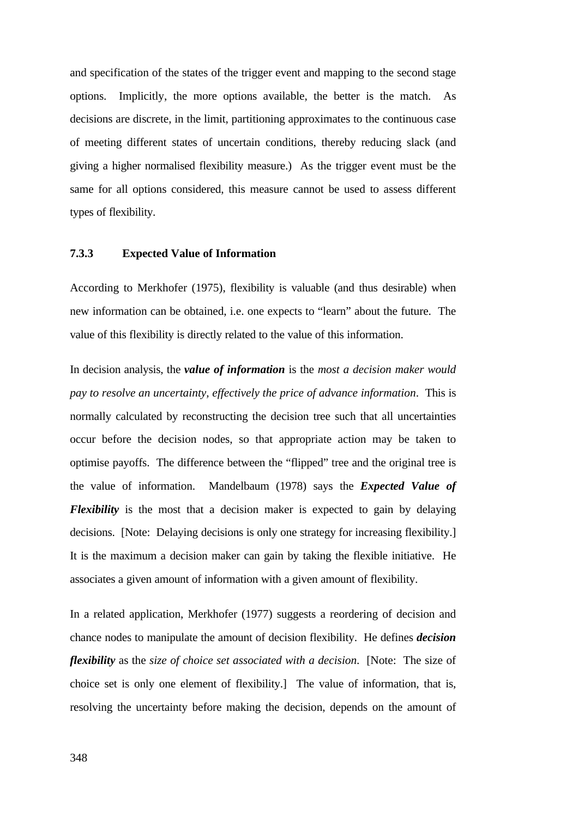and specification of the states of the trigger event and mapping to the second stage options. Implicitly, the more options available, the better is the match. As decisions are discrete, in the limit, partitioning approximates to the continuous case of meeting different states of uncertain conditions, thereby reducing slack (and giving a higher normalised flexibility measure.) As the trigger event must be the same for all options considered, this measure cannot be used to assess different types of flexibility.

#### **7.3.3 Expected Value of Information**

According to Merkhofer (1975), flexibility is valuable (and thus desirable) when new information can be obtained, i.e. one expects to "learn" about the future. The value of this flexibility is directly related to the value of this information.

In decision analysis, the *value of information* is the *most a decision maker would pay to resolve an uncertainty, effectively the price of advance information*. This is normally calculated by reconstructing the decision tree such that all uncertainties occur before the decision nodes, so that appropriate action may be taken to optimise payoffs. The difference between the "flipped" tree and the original tree is the value of information. Mandelbaum (1978) says the *Expected Value of Flexibility* is the most that a decision maker is expected to gain by delaying decisions. [Note: Delaying decisions is only one strategy for increasing flexibility.] It is the maximum a decision maker can gain by taking the flexible initiative. He associates a given amount of information with a given amount of flexibility.

In a related application, Merkhofer (1977) suggests a reordering of decision and chance nodes to manipulate the amount of decision flexibility. He defines *decision flexibility* as the *size of choice set associated with a decision*. [Note: The size of choice set is only one element of flexibility.] The value of information, that is, resolving the uncertainty before making the decision, depends on the amount of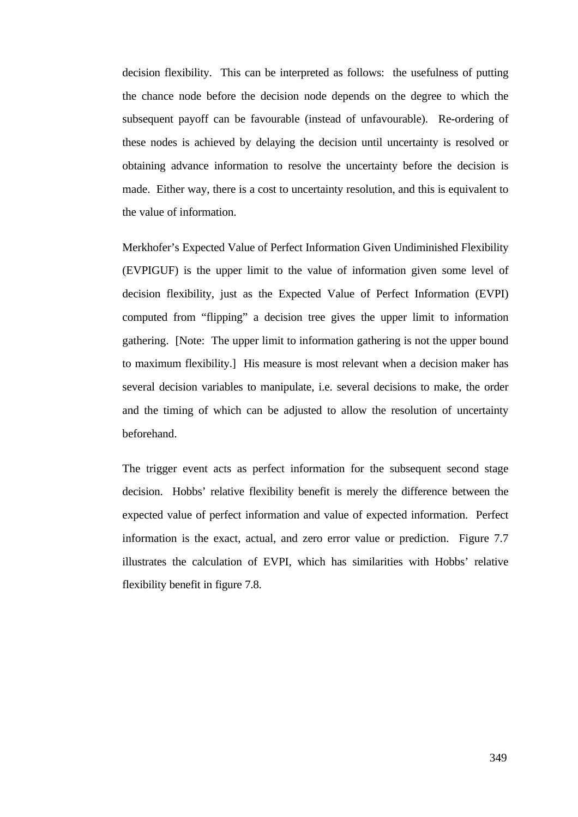decision flexibility. This can be interpreted as follows: the usefulness of putting the chance node before the decision node depends on the degree to which the subsequent payoff can be favourable (instead of unfavourable). Re-ordering of these nodes is achieved by delaying the decision until uncertainty is resolved or obtaining advance information to resolve the uncertainty before the decision is made. Either way, there is a cost to uncertainty resolution, and this is equivalent to the value of information.

Merkhofer's Expected Value of Perfect Information Given Undiminished Flexibility (EVPIGUF) is the upper limit to the value of information given some level of decision flexibility, just as the Expected Value of Perfect Information (EVPI) computed from "flipping" a decision tree gives the upper limit to information gathering. [Note: The upper limit to information gathering is not the upper bound to maximum flexibility.] His measure is most relevant when a decision maker has several decision variables to manipulate, i.e. several decisions to make, the order and the timing of which can be adjusted to allow the resolution of uncertainty beforehand.

The trigger event acts as perfect information for the subsequent second stage decision. Hobbs' relative flexibility benefit is merely the difference between the expected value of perfect information and value of expected information. Perfect information is the exact, actual, and zero error value or prediction. Figure 7.7 illustrates the calculation of EVPI, which has similarities with Hobbs' relative flexibility benefit in figure 7.8.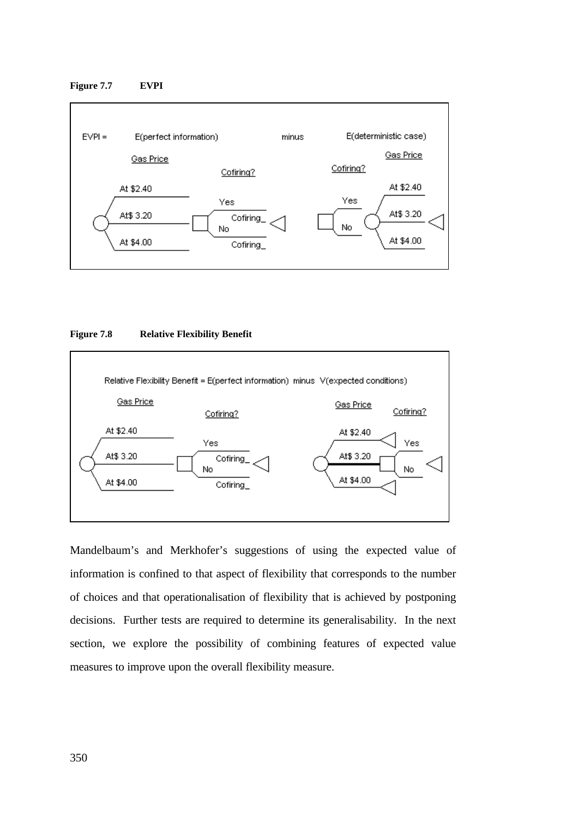#### **Figure 7.7 EVPI**



### **Figure 7.8 Relative Flexibility Benefit**



Mandelbaum's and Merkhofer's suggestions of using the expected value of information is confined to that aspect of flexibility that corresponds to the number of choices and that operationalisation of flexibility that is achieved by postponing decisions. Further tests are required to determine its generalisability. In the next section, we explore the possibility of combining features of expected value measures to improve upon the overall flexibility measure.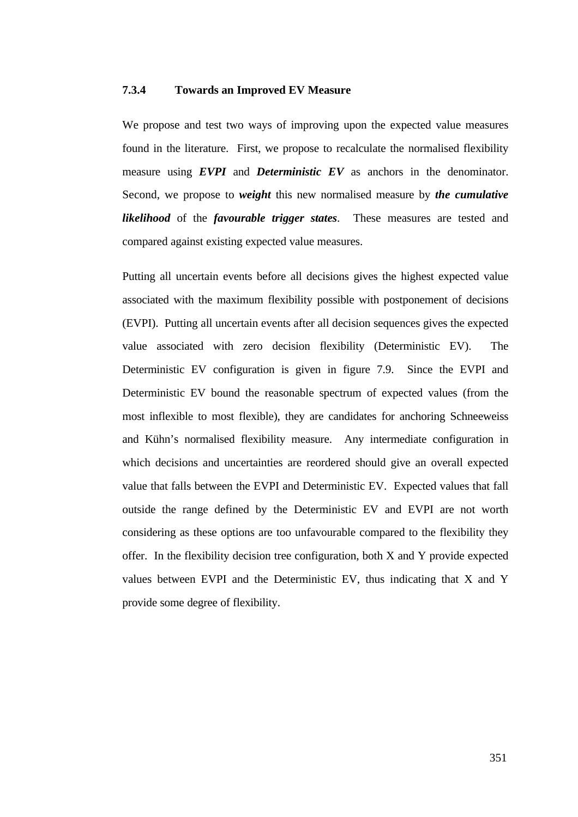#### **7.3.4 Towards an Improved EV Measure**

We propose and test two ways of improving upon the expected value measures found in the literature. First, we propose to recalculate the normalised flexibility measure using *EVPI* and *Deterministic EV* as anchors in the denominator. Second, we propose to *weight* this new normalised measure by *the cumulative likelihood* of the *favourable trigger states*. These measures are tested and compared against existing expected value measures.

Putting all uncertain events before all decisions gives the highest expected value associated with the maximum flexibility possible with postponement of decisions (EVPI). Putting all uncertain events after all decision sequences gives the expected value associated with zero decision flexibility (Deterministic EV). The Deterministic EV configuration is given in figure 7.9. Since the EVPI and Deterministic EV bound the reasonable spectrum of expected values (from the most inflexible to most flexible), they are candidates for anchoring Schneeweiss and Kühn's normalised flexibility measure. Any intermediate configuration in which decisions and uncertainties are reordered should give an overall expected value that falls between the EVPI and Deterministic EV. Expected values that fall outside the range defined by the Deterministic EV and EVPI are not worth considering as these options are too unfavourable compared to the flexibility they offer. In the flexibility decision tree configuration, both X and Y provide expected values between EVPI and the Deterministic EV, thus indicating that X and Y provide some degree of flexibility.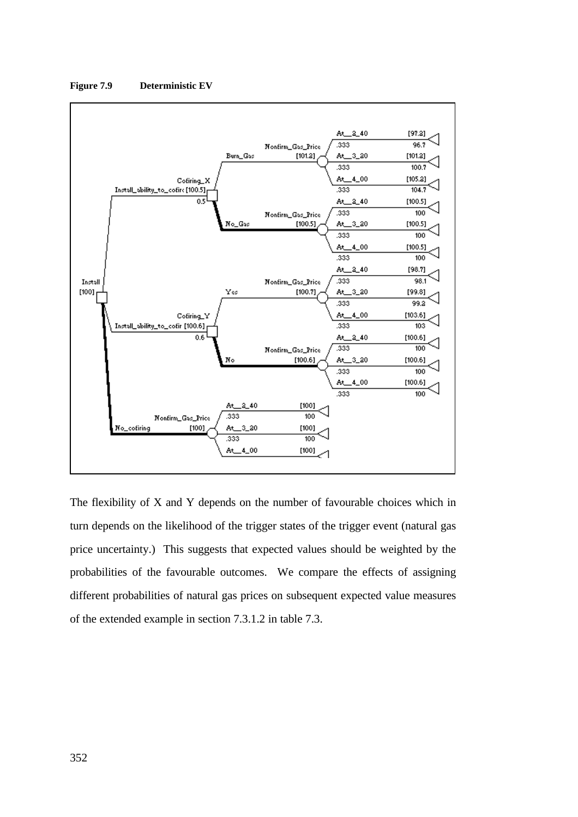

**Figure 7.9 Deterministic EV**

The flexibility of X and Y depends on the number of favourable choices which in turn depends on the likelihood of the trigger states of the trigger event (natural gas price uncertainty.) This suggests that expected values should be weighted by the probabilities of the favourable outcomes. We compare the effects of assigning different probabilities of natural gas prices on subsequent expected value measures of the extended example in section 7.3.1.2 in table 7.3.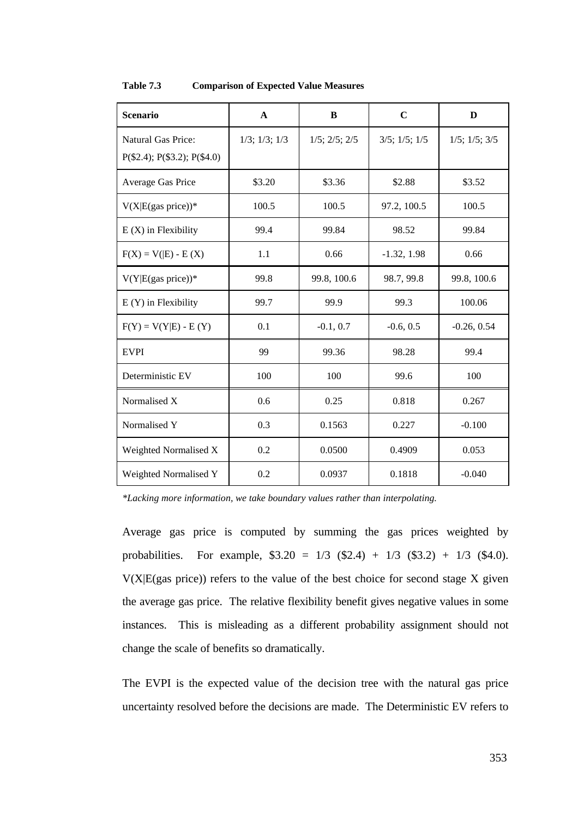| <b>Scenario</b>                                                   | A                     | B                     | $\mathbf C$           | D                     |  |
|-------------------------------------------------------------------|-----------------------|-----------------------|-----------------------|-----------------------|--|
| <b>Natural Gas Price:</b><br>$P(\$2.4)$ ; $P(\$3.2)$ ; $P(\$4.0)$ | $1/3$ ; $1/3$ ; $1/3$ | $1/5$ ; $2/5$ ; $2/5$ | $3/5$ ; $1/5$ ; $1/5$ | $1/5$ ; $1/5$ ; $3/5$ |  |
| Average Gas Price                                                 | \$3.20                | \$3.36                | \$2.88                | \$3.52                |  |
| $V(X E(gas price))^*$                                             | 100.5                 | 100.5                 | 97.2, 100.5           | 100.5                 |  |
| $E(X)$ in Flexibility                                             | 99.4                  | 99.84                 | 98.52                 | 99.84                 |  |
| $F(X) = V( E) - E(X)$                                             | 1.1                   | 0.66                  | $-1.32, 1.98$         | 0.66                  |  |
| $V(Y E(gas price))^*$                                             | 99.8                  | 99.8, 100.6           | 98.7, 99.8            | 99.8, 100.6           |  |
| $E(Y)$ in Flexibility                                             | 99.7                  | 99.9                  | 99.3                  | 100.06                |  |
| $F(Y) = V(Y E) - E(Y)$                                            | 0.1                   | $-0.1, 0.7$           | $-0.6, 0.5$           | $-0.26, 0.54$         |  |
| <b>EVPI</b>                                                       | 99                    | 99.36                 | 98.28                 | 99.4                  |  |
| Deterministic EV                                                  | 100                   | 100                   | 99.6                  | 100                   |  |
| Normalised X                                                      | 0.6                   | 0.25                  | 0.818                 | 0.267                 |  |
| Normalised Y                                                      | 0.3                   | 0.1563                | 0.227                 | $-0.100$              |  |
| Weighted Normalised X                                             | 0.2                   |                       | 0.4909                | 0.053                 |  |
| Weighted Normalised Y                                             | 0.2                   | 0.0937                | 0.1818                | $-0.040$              |  |

#### **Table 7.3 Comparison of Expected Value Measures**

*\*Lacking more information, we take boundary values rather than interpolating.*

Average gas price is computed by summing the gas prices weighted by probabilities. For example,  $$3.20 = 1/3$   $$2.4) + 1/3$   $$3.2) + 1/3$   $$4.0)$ .  $V(X|E(gas price))$  refers to the value of the best choice for second stage X given the average gas price. The relative flexibility benefit gives negative values in some instances. This is misleading as a different probability assignment should not change the scale of benefits so dramatically.

The EVPI is the expected value of the decision tree with the natural gas price uncertainty resolved before the decisions are made. The Deterministic EV refers to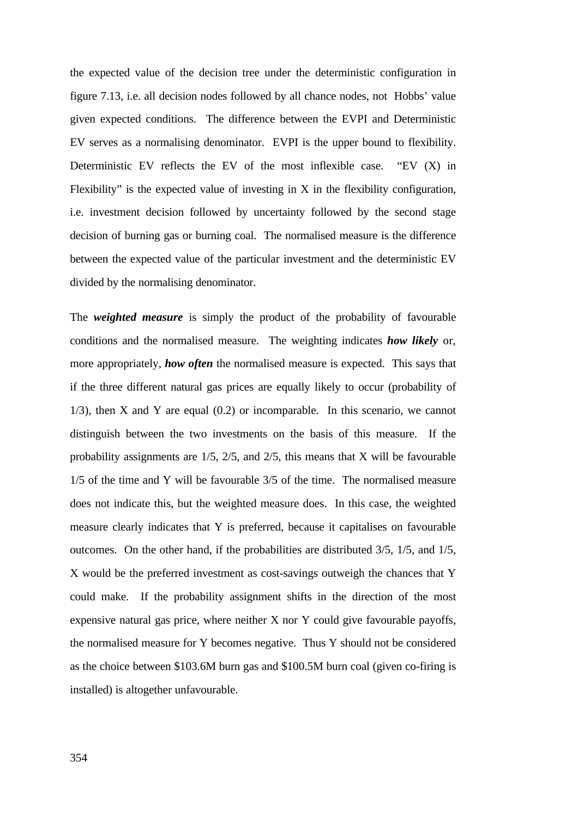the expected value of the decision tree under the deterministic configuration in figure 7.13, i.e. all decision nodes followed by all chance nodes, not Hobbs' value given expected conditions. The difference between the EVPI and Deterministic EV serves as a normalising denominator. EVPI is the upper bound to flexibility. Deterministic EV reflects the EV of the most inflexible case. "EV  $(X)$  in Flexibility" is the expected value of investing in X in the flexibility configuration, i.e. investment decision followed by uncertainty followed by the second stage decision of burning gas or burning coal. The normalised measure is the difference between the expected value of the particular investment and the deterministic EV divided by the normalising denominator.

The *weighted measure* is simply the product of the probability of favourable conditions and the normalised measure. The weighting indicates *how likely* or, more appropriately, *how often* the normalised measure is expected. This says that if the three different natural gas prices are equally likely to occur (probability of  $1/3$ , then X and Y are equal  $(0.2)$  or incomparable. In this scenario, we cannot distinguish between the two investments on the basis of this measure. If the probability assignments are 1/5, 2/5, and 2/5, this means that X will be favourable 1/5 of the time and Y will be favourable 3/5 of the time. The normalised measure does not indicate this, but the weighted measure does. In this case, the weighted measure clearly indicates that Y is preferred, because it capitalises on favourable outcomes. On the other hand, if the probabilities are distributed 3/5, 1/5, and 1/5, X would be the preferred investment as cost-savings outweigh the chances that Y could make. If the probability assignment shifts in the direction of the most expensive natural gas price, where neither X nor Y could give favourable payoffs, the normalised measure for Y becomes negative. Thus Y should not be considered as the choice between \$103.6M burn gas and \$100.5M burn coal (given co-firing is installed) is altogether unfavourable.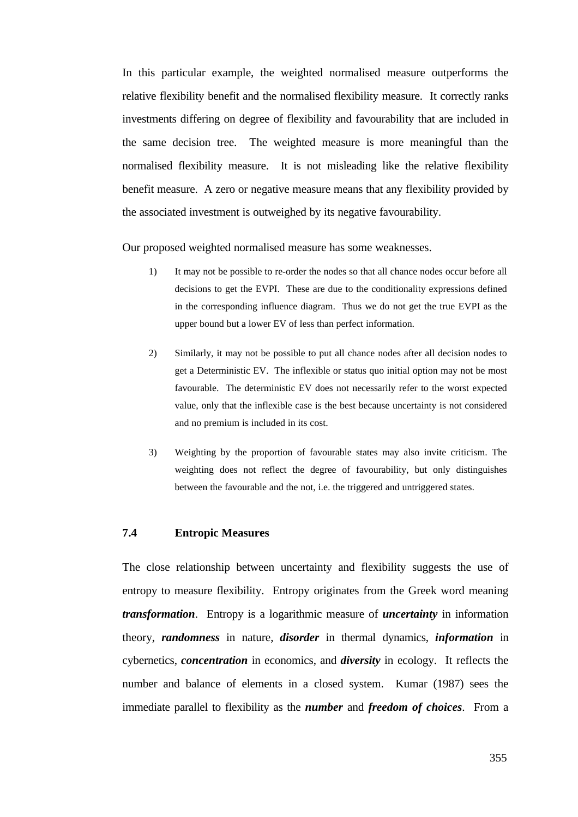In this particular example, the weighted normalised measure outperforms the relative flexibility benefit and the normalised flexibility measure. It correctly ranks investments differing on degree of flexibility and favourability that are included in the same decision tree. The weighted measure is more meaningful than the normalised flexibility measure. It is not misleading like the relative flexibility benefit measure. A zero or negative measure means that any flexibility provided by the associated investment is outweighed by its negative favourability.

Our proposed weighted normalised measure has some weaknesses.

- 1) It may not be possible to re-order the nodes so that all chance nodes occur before all decisions to get the EVPI. These are due to the conditionality expressions defined in the corresponding influence diagram. Thus we do not get the true EVPI as the upper bound but a lower EV of less than perfect information.
- 2) Similarly, it may not be possible to put all chance nodes after all decision nodes to get a Deterministic EV. The inflexible or status quo initial option may not be most favourable. The deterministic EV does not necessarily refer to the worst expected value, only that the inflexible case is the best because uncertainty is not considered and no premium is included in its cost.
- 3) Weighting by the proportion of favourable states may also invite criticism. The weighting does not reflect the degree of favourability, but only distinguishes between the favourable and the not, i.e. the triggered and untriggered states.

### **7.4 Entropic Measures**

The close relationship between uncertainty and flexibility suggests the use of entropy to measure flexibility. Entropy originates from the Greek word meaning *transformation*. Entropy is a logarithmic measure of *uncertainty* in information theory, *randomness* in nature, *disorder* in thermal dynamics, *information* in cybernetics, *concentration* in economics, and *diversity* in ecology. It reflects the number and balance of elements in a closed system. Kumar (1987) sees the immediate parallel to flexibility as the *number* and *freedom of choices*. From a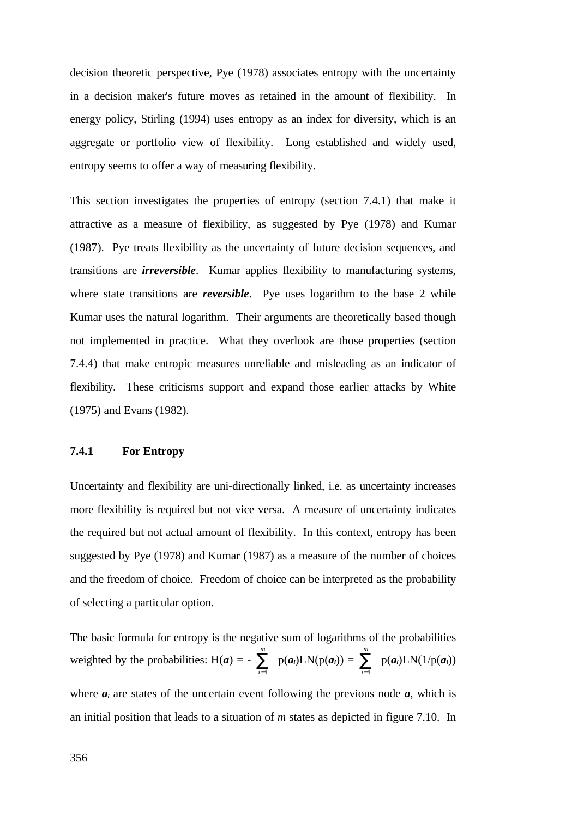decision theoretic perspective, Pye (1978) associates entropy with the uncertainty in a decision maker's future moves as retained in the amount of flexibility. In energy policy, Stirling (1994) uses entropy as an index for diversity, which is an aggregate or portfolio view of flexibility. Long established and widely used, entropy seems to offer a way of measuring flexibility.

This section investigates the properties of entropy (section 7.4.1) that make it attractive as a measure of flexibility, as suggested by Pye (1978) and Kumar (1987). Pye treats flexibility as the uncertainty of future decision sequences, and transitions are *irreversible*. Kumar applies flexibility to manufacturing systems, where state transitions are *reversible*. Pye uses logarithm to the base 2 while Kumar uses the natural logarithm. Their arguments are theoretically based though not implemented in practice. What they overlook are those properties (section 7.4.4) that make entropic measures unreliable and misleading as an indicator of flexibility. These criticisms support and expand those earlier attacks by White (1975) and Evans (1982).

### **7.4.1 For Entropy**

Uncertainty and flexibility are uni-directionally linked, i.e. as uncertainty increases more flexibility is required but not vice versa. A measure of uncertainty indicates the required but not actual amount of flexibility. In this context, entropy has been suggested by Pye (1978) and Kumar (1987) as a measure of the number of choices and the freedom of choice. Freedom of choice can be interpreted as the probability of selecting a particular option.

The basic formula for entropy is the negative sum of logarithms of the probabilities weighted by the probabilities:  $H(a) =$ *i m*  $\sum_{i=1}$  $p(a_i)LN(p(a_i)) =$ *i m*  $\sum_{i=1}$  $p(a_i)LN(1/p(a_i))$ 

where  $a_i$  are states of the uncertain event following the previous node  $a$ , which is an initial position that leads to a situation of *m* states as depicted in figure 7.10. In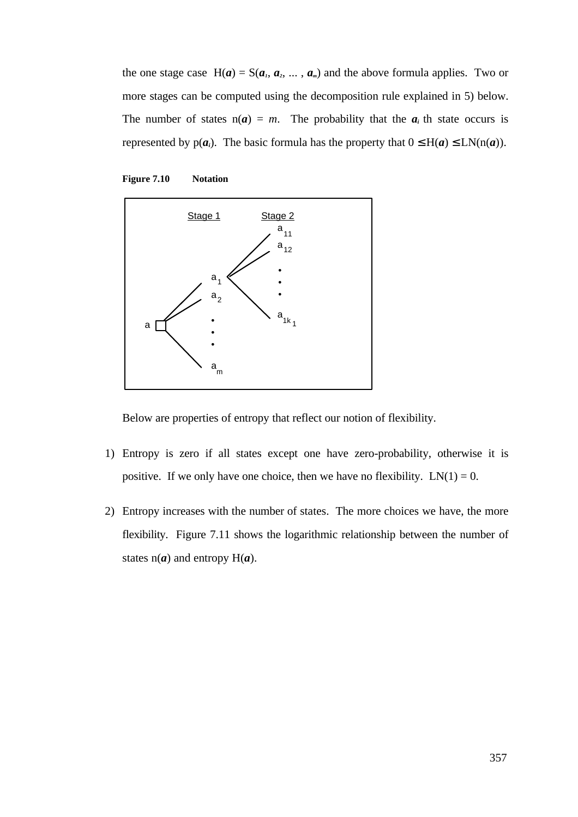the one stage case  $H(a) = S(a_1, a_2, \ldots, a_m)$  and the above formula applies. Two or more stages can be computed using the decomposition rule explained in 5) below. The number of states  $n(a) = m$ . The probability that the  $a_i$  th state occurs is represented by  $p(a_i)$ . The basic formula has the property that  $0 \le H(a) \le LN(n(a))$ .





Below are properties of entropy that reflect our notion of flexibility.

- 1) Entropy is zero if all states except one have zero-probability, otherwise it is positive. If we only have one choice, then we have no flexibility.  $LN(1) = 0$ .
- 2) Entropy increases with the number of states. The more choices we have, the more flexibility. Figure 7.11 shows the logarithmic relationship between the number of states  $n(a)$  and entropy  $H(a)$ .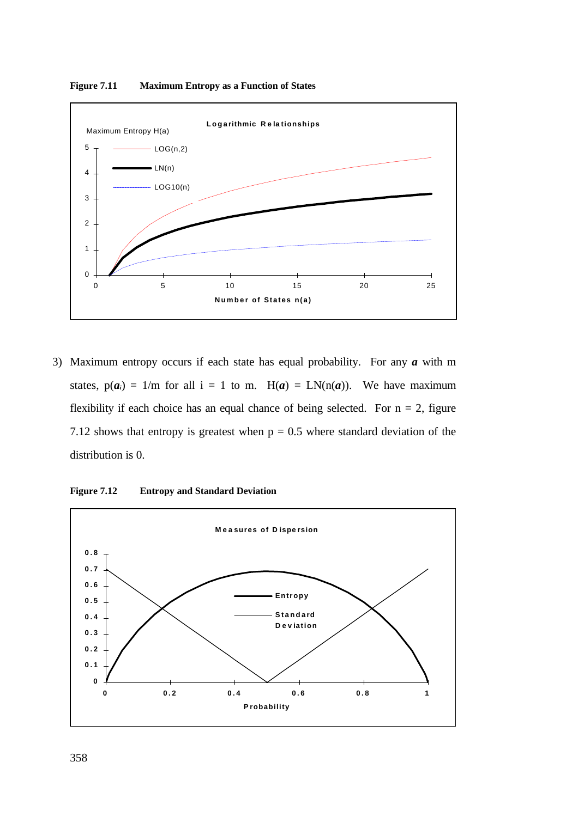

**Figure 7.11 Maximum Entropy as a Function of States**

3) Maximum entropy occurs if each state has equal probability. For any *a* with m states,  $p(a_i) = 1/m$  for all  $i = 1$  to m.  $H(a) = LN(n(a))$ . We have maximum flexibility if each choice has an equal chance of being selected. For  $n = 2$ , figure 7.12 shows that entropy is greatest when  $p = 0.5$  where standard deviation of the distribution is 0.



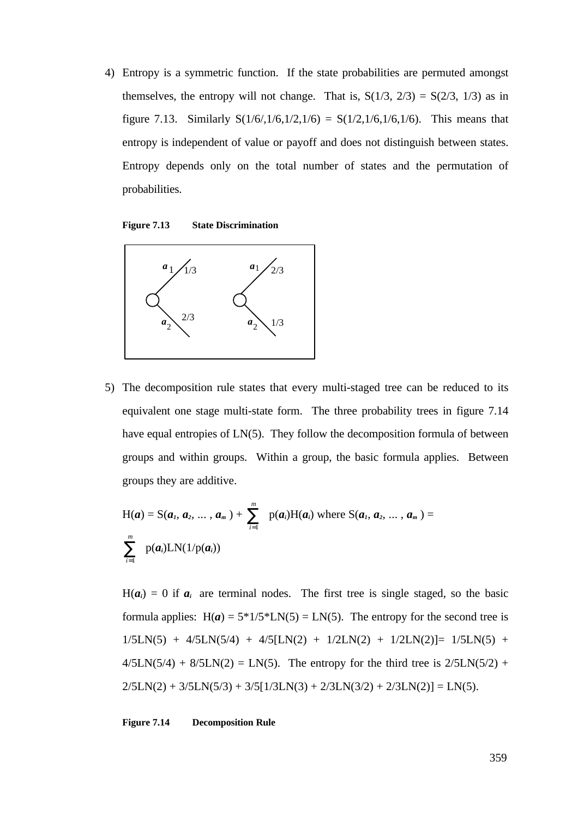4) Entropy is a symmetric function. If the state probabilities are permuted amongst themselves, the entropy will not change. That is,  $S(1/3, 2/3) = S(2/3, 1/3)$  as in figure 7.13. Similarly  $S(1/6,1/6,1/2,1/6) = S(1/2,1/6,1/6,1/6)$ . This means that entropy is independent of value or payoff and does not distinguish between states. Entropy depends only on the total number of states and the permutation of probabilities.

**Figure 7.13 State Discrimination**



5) The decomposition rule states that every multi-staged tree can be reduced to its equivalent one stage multi-state form. The three probability trees in figure 7.14 have equal entropies of LN(5). They follow the decomposition formula of between groups and within groups. Within a group, the basic formula applies. Between groups they are additive.

$$
H(a) = S(a_1, a_2, ..., a_m) + \sum_{i=1}^{m} p(a_i)H(a_i) \text{ where } S(a_1, a_2, ..., a_m) = \sum_{i=1}^{m} p(a_i)LN(1/p(a_i))
$$

 $H(a_i) = 0$  if  $a_i$  are terminal nodes. The first tree is single staged, so the basic formula applies:  $H(a) = 5*1/5*LN(5) = LN(5)$ . The entropy for the second tree is  $1/5LN(5) + 4/5LN(5/4) + 4/5[LN(2) + 1/2LN(2) + 1/2LN(2)] = 1/5LN(5) +$  $4/5LN(5/4) + 8/5LN(2) = LN(5)$ . The entropy for the third tree is  $2/5LN(5/2) +$  $2/5LN(2) + 3/5LN(5/3) + 3/5[1/3LN(3) + 2/3LN(3/2) + 2/3LN(2)] = LN(5).$ 

**Figure 7.14 Decomposition Rule**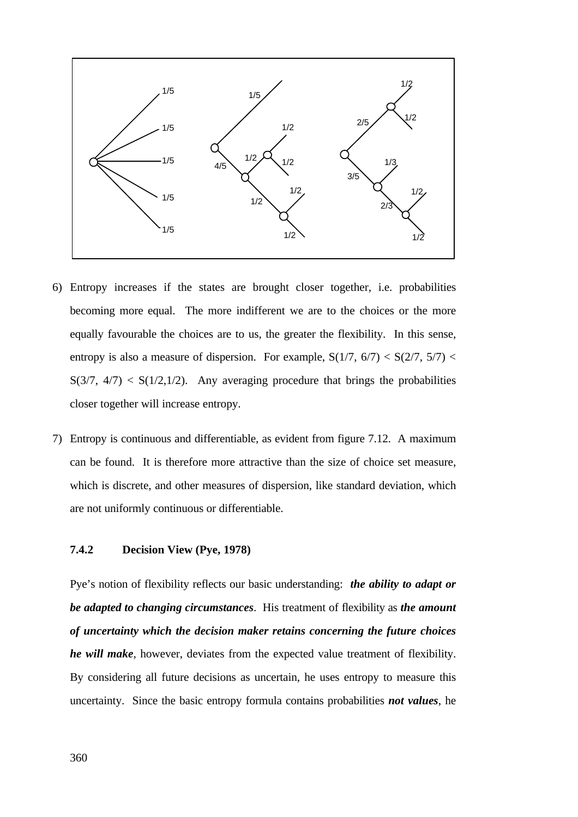

- 6) Entropy increases if the states are brought closer together, i.e. probabilities becoming more equal. The more indifferent we are to the choices or the more equally favourable the choices are to us, the greater the flexibility. In this sense, entropy is also a measure of dispersion. For example,  $S(1/7, 6/7) < S(2/7, 5/7)$  $S(3/7, 4/7) < S(1/2, 1/2)$ . Any averaging procedure that brings the probabilities closer together will increase entropy.
- 7) Entropy is continuous and differentiable, as evident from figure 7.12. A maximum can be found. It is therefore more attractive than the size of choice set measure, which is discrete, and other measures of dispersion, like standard deviation, which are not uniformly continuous or differentiable.

# **7.4.2 Decision View (Pye, 1978)**

Pye's notion of flexibility reflects our basic understanding: *the ability to adapt or be adapted to changing circumstances*. His treatment of flexibility as *the amount of uncertainty which the decision maker retains concerning the future choices he will make*, however, deviates from the expected value treatment of flexibility. By considering all future decisions as uncertain, he uses entropy to measure this uncertainty. Since the basic entropy formula contains probabilities *not values*, he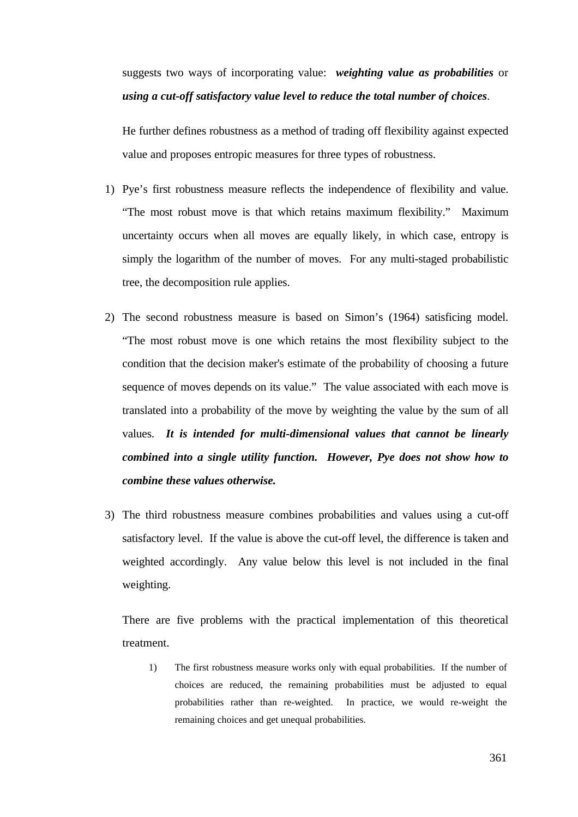suggests two ways of incorporating value: *weighting value as probabilities* or *using a cut-off satisfactory value level to reduce the total number of choices*.

He further defines robustness as a method of trading off flexibility against expected value and proposes entropic measures for three types of robustness.

- 1) Pye's first robustness measure reflects the independence of flexibility and value. "The most robust move is that which retains maximum flexibility." Maximum uncertainty occurs when all moves are equally likely, in which case, entropy is simply the logarithm of the number of moves. For any multi-staged probabilistic tree, the decomposition rule applies.
- 2) The second robustness measure is based on Simon's (1964) satisficing model. "The most robust move is one which retains the most flexibility subject to the condition that the decision maker's estimate of the probability of choosing a future sequence of moves depends on its value." The value associated with each move is translated into a probability of the move by weighting the value by the sum of all values. *It is intended for multi-dimensional values that cannot be linearly combined into a single utility function. However, Pye does not show how to combine these values otherwise.*
- 3) The third robustness measure combines probabilities and values using a cut-off satisfactory level. If the value is above the cut-off level, the difference is taken and weighted accordingly. Any value below this level is not included in the final weighting.

There are five problems with the practical implementation of this theoretical treatment.

1) The first robustness measure works only with equal probabilities. If the number of choices are reduced, the remaining probabilities must be adjusted to equal probabilities rather than re-weighted. In practice, we would re-weight the remaining choices and get unequal probabilities.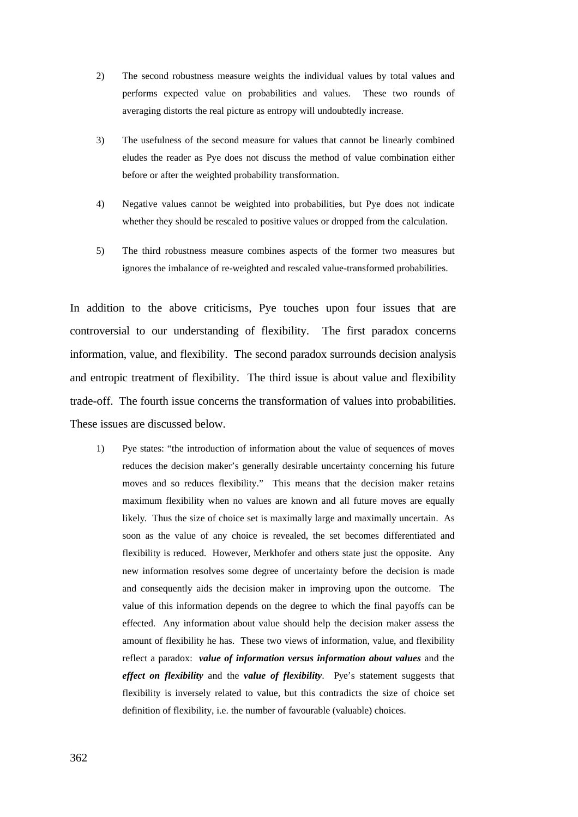- 2) The second robustness measure weights the individual values by total values and performs expected value on probabilities and values. These two rounds of averaging distorts the real picture as entropy will undoubtedly increase.
- 3) The usefulness of the second measure for values that cannot be linearly combined eludes the reader as Pye does not discuss the method of value combination either before or after the weighted probability transformation.
- 4) Negative values cannot be weighted into probabilities, but Pye does not indicate whether they should be rescaled to positive values or dropped from the calculation.
- 5) The third robustness measure combines aspects of the former two measures but ignores the imbalance of re-weighted and rescaled value-transformed probabilities.

In addition to the above criticisms, Pye touches upon four issues that are controversial to our understanding of flexibility. The first paradox concerns information, value, and flexibility. The second paradox surrounds decision analysis and entropic treatment of flexibility. The third issue is about value and flexibility trade-off. The fourth issue concerns the transformation of values into probabilities. These issues are discussed below.

1) Pye states: "the introduction of information about the value of sequences of moves reduces the decision maker's generally desirable uncertainty concerning his future moves and so reduces flexibility." This means that the decision maker retains maximum flexibility when no values are known and all future moves are equally likely. Thus the size of choice set is maximally large and maximally uncertain. As soon as the value of any choice is revealed, the set becomes differentiated and flexibility is reduced. However, Merkhofer and others state just the opposite. Any new information resolves some degree of uncertainty before the decision is made and consequently aids the decision maker in improving upon the outcome. The value of this information depends on the degree to which the final payoffs can be effected. Any information about value should help the decision maker assess the amount of flexibility he has. These two views of information, value, and flexibility reflect a paradox: *value of information versus information about values* and the *effect on flexibility* and the *value of flexibility*. Pye's statement suggests that flexibility is inversely related to value, but this contradicts the size of choice set definition of flexibility, i.e. the number of favourable (valuable) choices.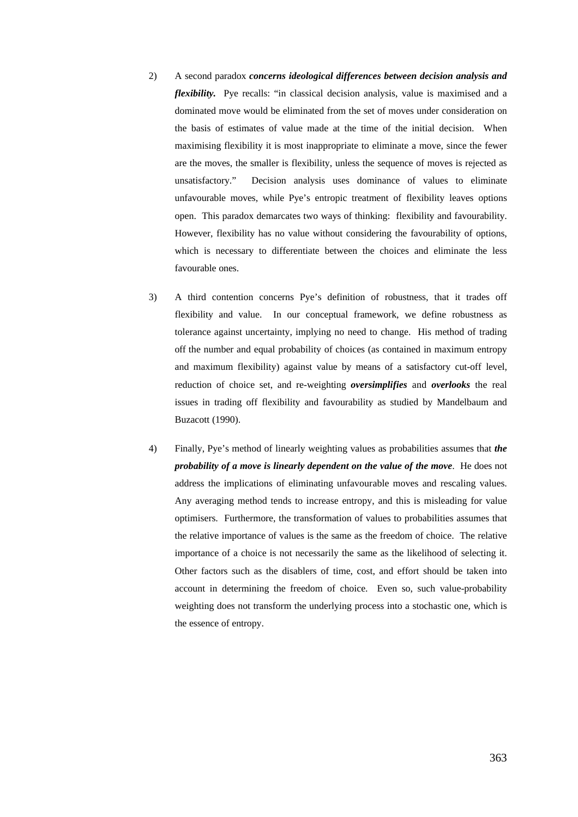- 2) A second paradox *concerns ideological differences between decision analysis and flexibility.* Pye recalls: "in classical decision analysis, value is maximised and a dominated move would be eliminated from the set of moves under consideration on the basis of estimates of value made at the time of the initial decision. When maximising flexibility it is most inappropriate to eliminate a move, since the fewer are the moves, the smaller is flexibility, unless the sequence of moves is rejected as unsatisfactory." Decision analysis uses dominance of values to eliminate unfavourable moves, while Pye's entropic treatment of flexibility leaves options open. This paradox demarcates two ways of thinking: flexibility and favourability. However, flexibility has no value without considering the favourability of options, which is necessary to differentiate between the choices and eliminate the less favourable ones.
- 3) A third contention concerns Pye's definition of robustness, that it trades off flexibility and value. In our conceptual framework, we define robustness as tolerance against uncertainty, implying no need to change. His method of trading off the number and equal probability of choices (as contained in maximum entropy and maximum flexibility) against value by means of a satisfactory cut-off level, reduction of choice set, and re-weighting *oversimplifies* and *overlooks* the real issues in trading off flexibility and favourability as studied by Mandelbaum and Buzacott (1990).
- 4) Finally, Pye's method of linearly weighting values as probabilities assumes that *the probability of a move is linearly dependent on the value of the move*. He does not address the implications of eliminating unfavourable moves and rescaling values. Any averaging method tends to increase entropy, and this is misleading for value optimisers. Furthermore, the transformation of values to probabilities assumes that the relative importance of values is the same as the freedom of choice. The relative importance of a choice is not necessarily the same as the likelihood of selecting it. Other factors such as the disablers of time, cost, and effort should be taken into account in determining the freedom of choice. Even so, such value-probability weighting does not transform the underlying process into a stochastic one, which is the essence of entropy.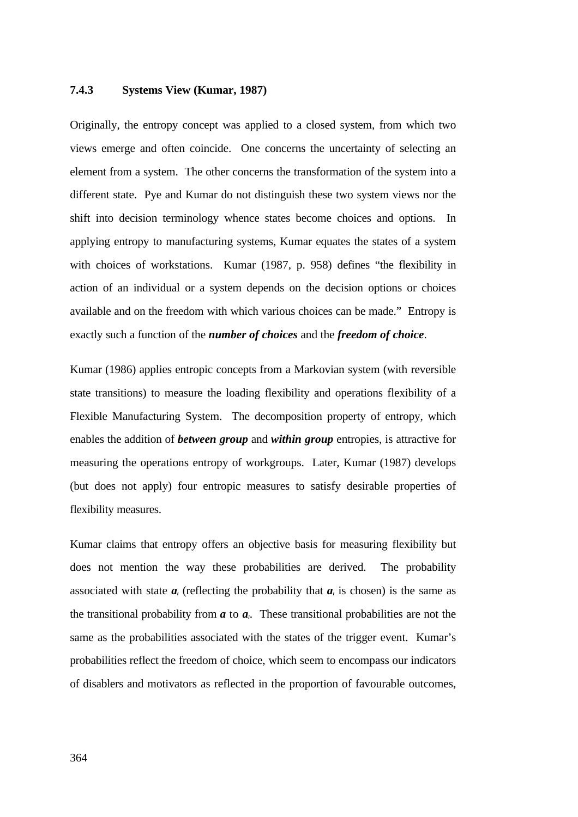#### **7.4.3 Systems View (Kumar, 1987)**

Originally, the entropy concept was applied to a closed system, from which two views emerge and often coincide. One concerns the uncertainty of selecting an element from a system. The other concerns the transformation of the system into a different state. Pye and Kumar do not distinguish these two system views nor the shift into decision terminology whence states become choices and options. In applying entropy to manufacturing systems, Kumar equates the states of a system with choices of workstations. Kumar (1987, p. 958) defines "the flexibility in action of an individual or a system depends on the decision options or choices available and on the freedom with which various choices can be made." Entropy is exactly such a function of the *number of choices* and the *freedom of choice*.

Kumar (1986) applies entropic concepts from a Markovian system (with reversible state transitions) to measure the loading flexibility and operations flexibility of a Flexible Manufacturing System. The decomposition property of entropy, which enables the addition of *between group* and *within group* entropies, is attractive for measuring the operations entropy of workgroups. Later, Kumar (1987) develops (but does not apply) four entropic measures to satisfy desirable properties of flexibility measures.

Kumar claims that entropy offers an objective basis for measuring flexibility but does not mention the way these probabilities are derived. The probability associated with state  $a_i$  (reflecting the probability that  $a_i$  is chosen) is the same as the transitional probability from  $a$  to  $a_i$ . These transitional probabilities are not the same as the probabilities associated with the states of the trigger event. Kumar's probabilities reflect the freedom of choice, which seem to encompass our indicators of disablers and motivators as reflected in the proportion of favourable outcomes,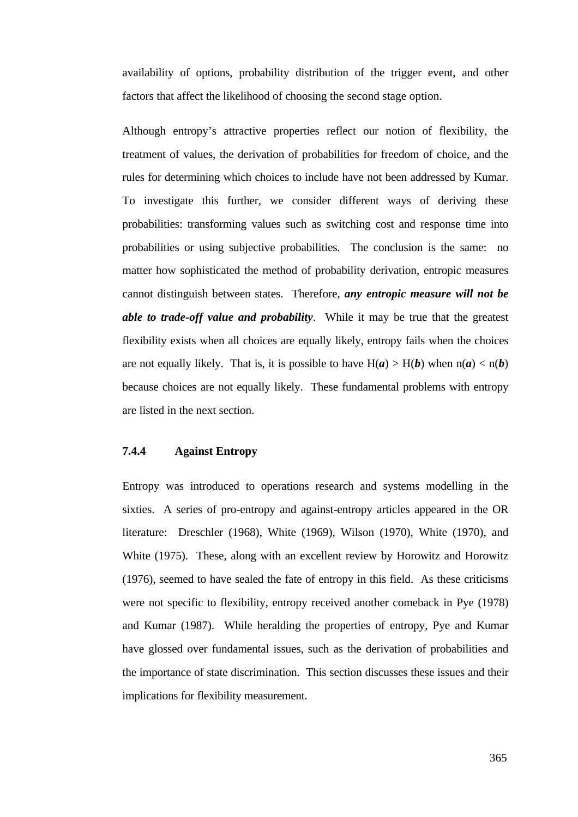availability of options, probability distribution of the trigger event, and other factors that affect the likelihood of choosing the second stage option.

Although entropy's attractive properties reflect our notion of flexibility, the treatment of values, the derivation of probabilities for freedom of choice, and the rules for determining which choices to include have not been addressed by Kumar. To investigate this further, we consider different ways of deriving these probabilities: transforming values such as switching cost and response time into probabilities or using subjective probabilities. The conclusion is the same: no matter how sophisticated the method of probability derivation, entropic measures cannot distinguish between states. Therefore, *any entropic measure will not be able to trade-off value and probability*. While it may be true that the greatest flexibility exists when all choices are equally likely, entropy fails when the choices are not equally likely. That is, it is possible to have  $H(a) > H(b)$  when  $n(a) < n(b)$ because choices are not equally likely. These fundamental problems with entropy are listed in the next section.

# **7.4.4 Against Entropy**

Entropy was introduced to operations research and systems modelling in the sixties. A series of pro-entropy and against-entropy articles appeared in the OR literature: Dreschler (1968), White (1969), Wilson (1970), White (1970), and White (1975). These, along with an excellent review by Horowitz and Horowitz (1976), seemed to have sealed the fate of entropy in this field. As these criticisms were not specific to flexibility, entropy received another comeback in Pye (1978) and Kumar (1987). While heralding the properties of entropy, Pye and Kumar have glossed over fundamental issues, such as the derivation of probabilities and the importance of state discrimination. This section discusses these issues and their implications for flexibility measurement.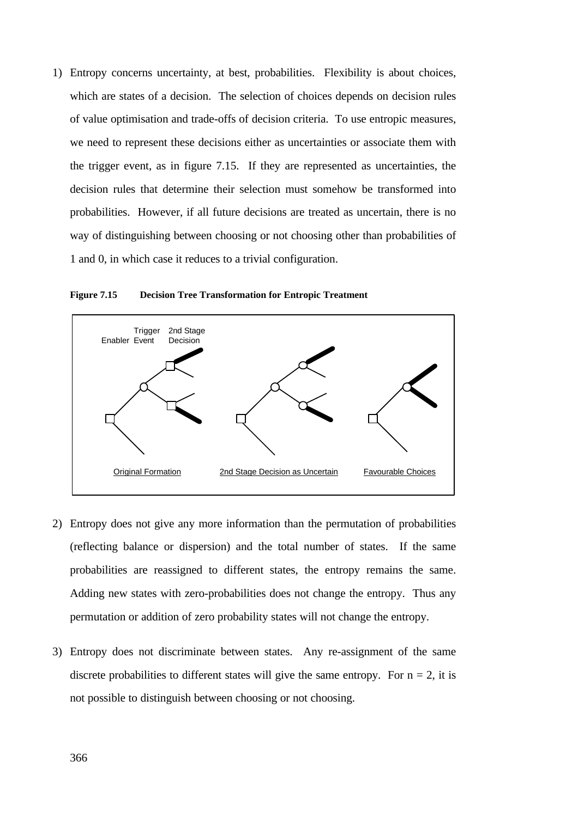1) Entropy concerns uncertainty, at best, probabilities. Flexibility is about choices, which are states of a decision. The selection of choices depends on decision rules of value optimisation and trade-offs of decision criteria. To use entropic measures, we need to represent these decisions either as uncertainties or associate them with the trigger event, as in figure 7.15. If they are represented as uncertainties, the decision rules that determine their selection must somehow be transformed into probabilities. However, if all future decisions are treated as uncertain, there is no way of distinguishing between choosing or not choosing other than probabilities of 1 and 0, in which case it reduces to a trivial configuration.



**Figure 7.15 Decision Tree Transformation for Entropic Treatment**

- 2) Entropy does not give any more information than the permutation of probabilities (reflecting balance or dispersion) and the total number of states. If the same probabilities are reassigned to different states, the entropy remains the same. Adding new states with zero-probabilities does not change the entropy. Thus any permutation or addition of zero probability states will not change the entropy.
- 3) Entropy does not discriminate between states. Any re-assignment of the same discrete probabilities to different states will give the same entropy. For  $n = 2$ , it is not possible to distinguish between choosing or not choosing.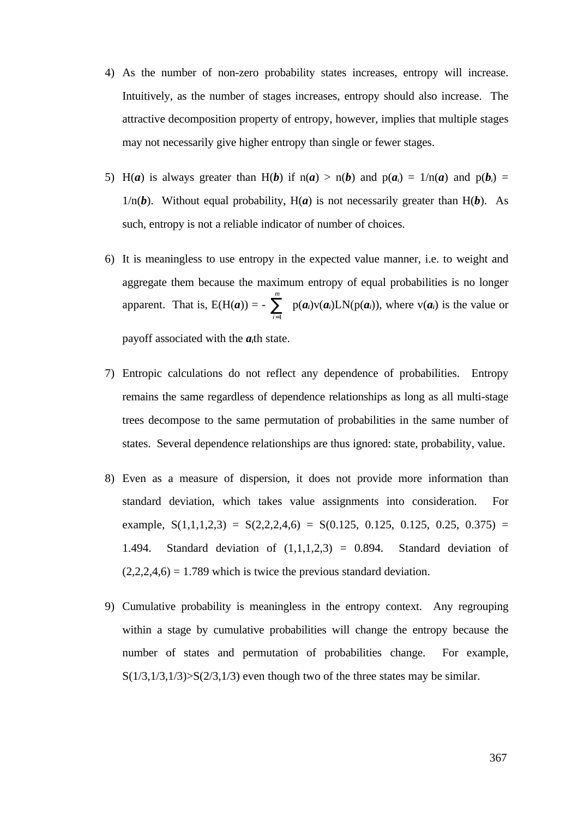- 4) As the number of non-zero probability states increases, entropy will increase. Intuitively, as the number of stages increases, entropy should also increase. The attractive decomposition property of entropy, however, implies that multiple stages may not necessarily give higher entropy than single or fewer stages.
- 5) H(*a*) is always greater than H(*b*) if  $n(a) > n(b)$  and  $p(a_i) = 1/n(a)$  and  $p(b_i) =$  $1/n(b)$ . Without equal probability,  $H(a)$  is not necessarily greater than  $H(b)$ . As such, entropy is not a reliable indicator of number of choices.
- 6) It is meaningless to use entropy in the expected value manner, i.e. to weight and aggregate them because the maximum entropy of equal probabilities is no longer apparent. That is,  $E(H(a)) =$ *i m*  $\sum_{i=1}$  $p(a_i)v(a_i)LN(p(a_i))$ , where  $v(a_i)$  is the value or

payoff associated with the *ai*th state.

- 7) Entropic calculations do not reflect any dependence of probabilities. Entropy remains the same regardless of dependence relationships as long as all multi-stage trees decompose to the same permutation of probabilities in the same number of states. Several dependence relationships are thus ignored: state, probability, value.
- 8) Even as a measure of dispersion, it does not provide more information than standard deviation, which takes value assignments into consideration. For example,  $S(1,1,1,2,3) = S(2,2,2,4,6) = S(0.125, 0.125, 0.125, 0.25, 0.375) =$ 1.494. Standard deviation of  $(1,1,1,2,3) = 0.894$ . Standard deviation of  $(2,2,2,4,6) = 1.789$  which is twice the previous standard deviation.
- 9) Cumulative probability is meaningless in the entropy context. Any regrouping within a stage by cumulative probabilities will change the entropy because the number of states and permutation of probabilities change. For example,  $S(1/3,1/3,1/3)$ > $S(2/3,1/3)$  even though two of the three states may be similar.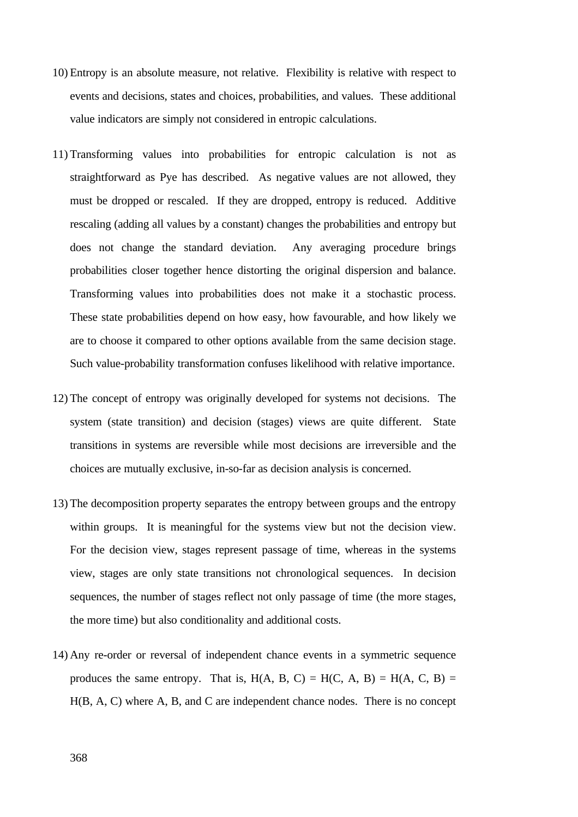- 10) Entropy is an absolute measure, not relative. Flexibility is relative with respect to events and decisions, states and choices, probabilities, and values. These additional value indicators are simply not considered in entropic calculations.
- 11) Transforming values into probabilities for entropic calculation is not as straightforward as Pye has described. As negative values are not allowed, they must be dropped or rescaled. If they are dropped, entropy is reduced. Additive rescaling (adding all values by a constant) changes the probabilities and entropy but does not change the standard deviation. Any averaging procedure brings probabilities closer together hence distorting the original dispersion and balance. Transforming values into probabilities does not make it a stochastic process. These state probabilities depend on how easy, how favourable, and how likely we are to choose it compared to other options available from the same decision stage. Such value-probability transformation confuses likelihood with relative importance.
- 12) The concept of entropy was originally developed for systems not decisions. The system (state transition) and decision (stages) views are quite different. State transitions in systems are reversible while most decisions are irreversible and the choices are mutually exclusive, in-so-far as decision analysis is concerned.
- 13) The decomposition property separates the entropy between groups and the entropy within groups. It is meaningful for the systems view but not the decision view. For the decision view, stages represent passage of time, whereas in the systems view, stages are only state transitions not chronological sequences. In decision sequences, the number of stages reflect not only passage of time (the more stages, the more time) but also conditionality and additional costs.
- 14) Any re-order or reversal of independent chance events in a symmetric sequence produces the same entropy. That is,  $H(A, B, C) = H(C, A, B) = H(A, C, B) =$ H(B, A, C) where A, B, and C are independent chance nodes. There is no concept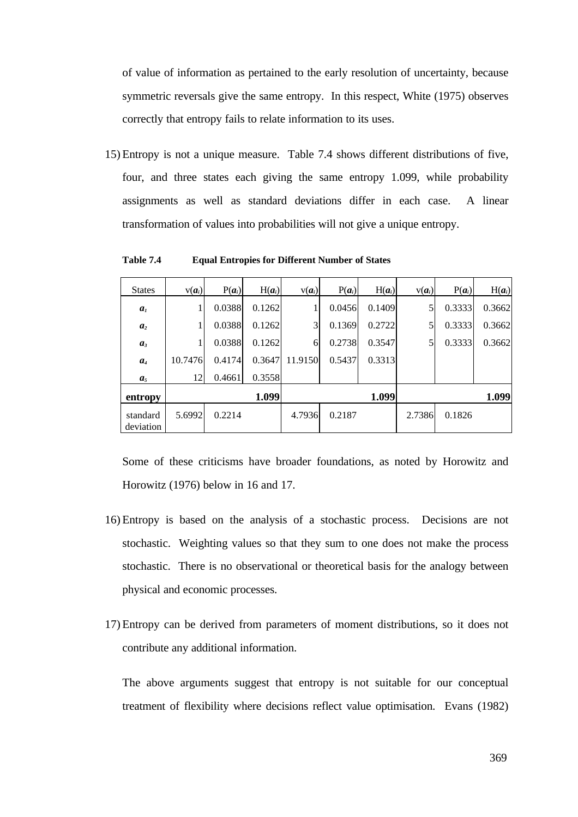of value of information as pertained to the early resolution of uncertainty, because symmetric reversals give the same entropy. In this respect, White (1975) observes correctly that entropy fails to relate information to its uses.

15) Entropy is not a unique measure. Table 7.4 shows different distributions of five, four, and three states each giving the same entropy 1.099, while probability assignments as well as standard deviations differ in each case. A linear transformation of values into probabilities will not give a unique entropy.

| <b>States</b>         | $V(a_i)$ | $P(a_i)$ | $H(a_i)$ | $v(a_i)$       | $P(a_i)$ | $H(a_i)$ | $V(a_i)$ | $P(a_i)$ | $H(a_i)$ |
|-----------------------|----------|----------|----------|----------------|----------|----------|----------|----------|----------|
| a <sub>1</sub>        | 1        | 0.0388   | 0.1262   |                | 0.0456   | 0.1409   | 5        | 0.3333   | 0.3662   |
| a <sub>2</sub>        |          | 0.0388   | 0.1262   | $\overline{3}$ | 0.1369   | 0.2722   | 5        | 0.3333   | 0.3662   |
| $a_3$                 | 1        | 0.0388   | 0.1262   | 6              | 0.2738   | 0.3547   | 5        | 0.3333   | 0.3662   |
| a <sub>4</sub>        | 10.7476  | 0.4174   | 0.3647   | 11.9150        | 0.5437   | 0.3313   |          |          |          |
| a <sub>5</sub>        | 12       | 0.4661   | 0.3558   |                |          |          |          |          |          |
| entropy               |          |          | 1.099    |                |          | 1.099    |          |          | 1.099    |
| standard<br>deviation | 5.6992   | 0.2214   |          | 4.7936         | 0.2187   |          | 2.7386   | 0.1826   |          |

**Table 7.4 Equal Entropies for Different Number of States**

Some of these criticisms have broader foundations, as noted by Horowitz and Horowitz (1976) below in 16 and 17.

- 16) Entropy is based on the analysis of a stochastic process. Decisions are not stochastic. Weighting values so that they sum to one does not make the process stochastic. There is no observational or theoretical basis for the analogy between physical and economic processes.
- 17) Entropy can be derived from parameters of moment distributions, so it does not contribute any additional information.

The above arguments suggest that entropy is not suitable for our conceptual treatment of flexibility where decisions reflect value optimisation. Evans (1982)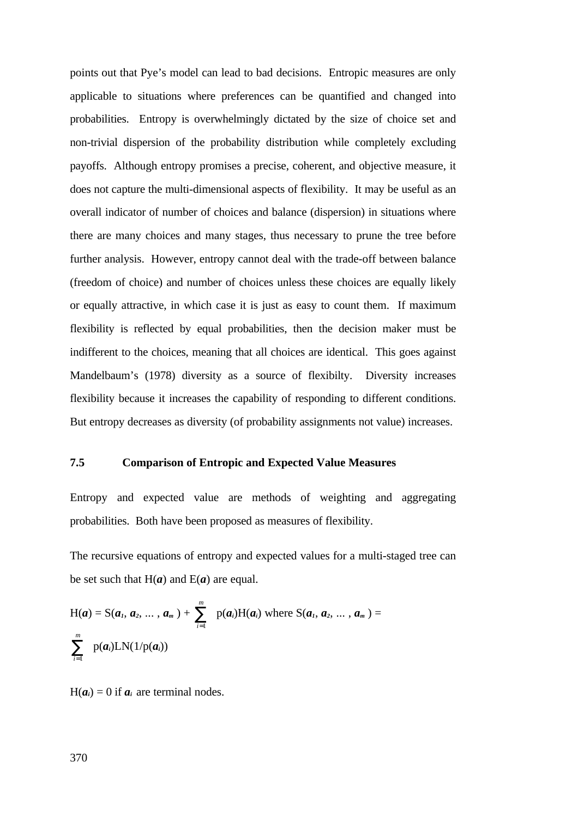points out that Pye's model can lead to bad decisions. Entropic measures are only applicable to situations where preferences can be quantified and changed into probabilities. Entropy is overwhelmingly dictated by the size of choice set and non-trivial dispersion of the probability distribution while completely excluding payoffs. Although entropy promises a precise, coherent, and objective measure, it does not capture the multi-dimensional aspects of flexibility. It may be useful as an overall indicator of number of choices and balance (dispersion) in situations where there are many choices and many stages, thus necessary to prune the tree before further analysis. However, entropy cannot deal with the trade-off between balance (freedom of choice) and number of choices unless these choices are equally likely or equally attractive, in which case it is just as easy to count them. If maximum flexibility is reflected by equal probabilities, then the decision maker must be indifferent to the choices, meaning that all choices are identical. This goes against Mandelbaum's (1978) diversity as a source of flexibilty. Diversity increases flexibility because it increases the capability of responding to different conditions. But entropy decreases as diversity (of probability assignments not value) increases.

### **7.5 Comparison of Entropic and Expected Value Measures**

Entropy and expected value are methods of weighting and aggregating probabilities. Both have been proposed as measures of flexibility.

The recursive equations of entropy and expected values for a multi-staged tree can be set such that  $H(a)$  and  $E(a)$  are equal.

$$
H(a) = S(a_1, a_2, ..., a_m) + \sum_{i=1}^{m} p(a_i)H(a_i) \text{ where } S(a_1, a_2, ..., a_m) = \sum_{i=1}^{m} p(a_i)LN(1/p(a_i))
$$

 $H(a_i) = 0$  if  $a_i$  are terminal nodes.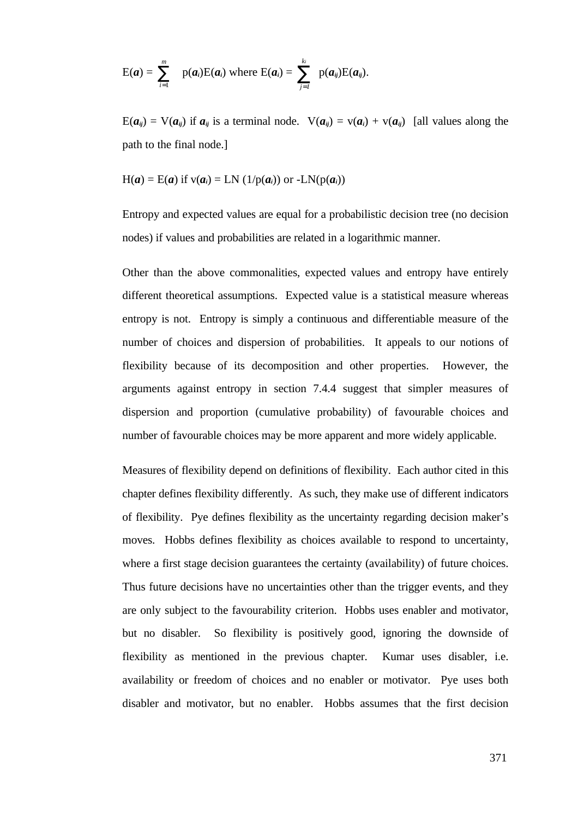$$
E(a) = \sum_{i=1}^m p(a_i)E(a_i) \text{ where } E(a_i) = \sum_{j=1}^k p(a_{ij})E(a_{ij}).
$$

 $E(a_{ij}) = V(a_{ij})$  if  $a_{ij}$  is a terminal node.  $V(a_{ij}) = V(a_i) + V(a_{ij})$  [all values along the path to the final node.]

$$
H(a) = E(a) \text{ if } v(a_i) = LN(1/p(a_i)) \text{ or } -LN(p(a_i))
$$

Entropy and expected values are equal for a probabilistic decision tree (no decision nodes) if values and probabilities are related in a logarithmic manner.

Other than the above commonalities, expected values and entropy have entirely different theoretical assumptions. Expected value is a statistical measure whereas entropy is not. Entropy is simply a continuous and differentiable measure of the number of choices and dispersion of probabilities. It appeals to our notions of flexibility because of its decomposition and other properties. However, the arguments against entropy in section 7.4.4 suggest that simpler measures of dispersion and proportion (cumulative probability) of favourable choices and number of favourable choices may be more apparent and more widely applicable.

Measures of flexibility depend on definitions of flexibility. Each author cited in this chapter defines flexibility differently. As such, they make use of different indicators of flexibility. Pye defines flexibility as the uncertainty regarding decision maker's moves. Hobbs defines flexibility as choices available to respond to uncertainty, where a first stage decision guarantees the certainty (availability) of future choices. Thus future decisions have no uncertainties other than the trigger events, and they are only subject to the favourability criterion. Hobbs uses enabler and motivator, but no disabler. So flexibility is positively good, ignoring the downside of flexibility as mentioned in the previous chapter. Kumar uses disabler, i.e. availability or freedom of choices and no enabler or motivator. Pye uses both disabler and motivator, but no enabler. Hobbs assumes that the first decision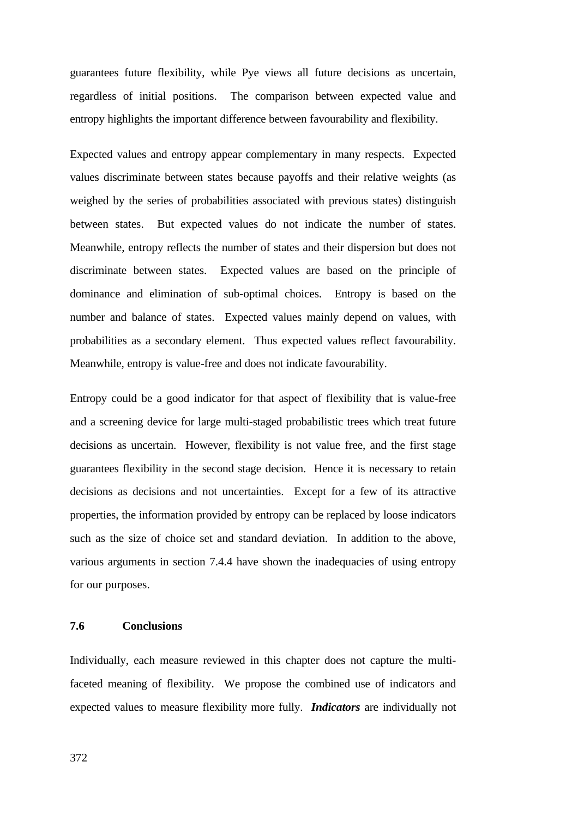guarantees future flexibility, while Pye views all future decisions as uncertain, regardless of initial positions. The comparison between expected value and entropy highlights the important difference between favourability and flexibility.

Expected values and entropy appear complementary in many respects. Expected values discriminate between states because payoffs and their relative weights (as weighed by the series of probabilities associated with previous states) distinguish between states. But expected values do not indicate the number of states. Meanwhile, entropy reflects the number of states and their dispersion but does not discriminate between states. Expected values are based on the principle of dominance and elimination of sub-optimal choices. Entropy is based on the number and balance of states. Expected values mainly depend on values, with probabilities as a secondary element. Thus expected values reflect favourability. Meanwhile, entropy is value-free and does not indicate favourability.

Entropy could be a good indicator for that aspect of flexibility that is value-free and a screening device for large multi-staged probabilistic trees which treat future decisions as uncertain. However, flexibility is not value free, and the first stage guarantees flexibility in the second stage decision. Hence it is necessary to retain decisions as decisions and not uncertainties. Except for a few of its attractive properties, the information provided by entropy can be replaced by loose indicators such as the size of choice set and standard deviation. In addition to the above, various arguments in section 7.4.4 have shown the inadequacies of using entropy for our purposes.

### **7.6 Conclusions**

Individually, each measure reviewed in this chapter does not capture the multifaceted meaning of flexibility. We propose the combined use of indicators and expected values to measure flexibility more fully. *Indicators* are individually not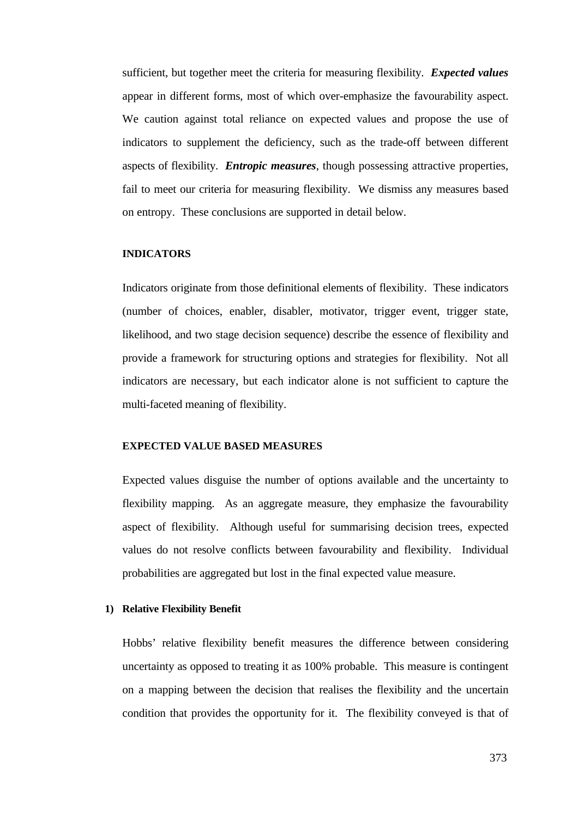sufficient, but together meet the criteria for measuring flexibility. *Expected values* appear in different forms, most of which over-emphasize the favourability aspect. We caution against total reliance on expected values and propose the use of indicators to supplement the deficiency, such as the trade-off between different aspects of flexibility. *Entropic measures*, though possessing attractive properties, fail to meet our criteria for measuring flexibility. We dismiss any measures based on entropy. These conclusions are supported in detail below.

### **INDICATORS**

Indicators originate from those definitional elements of flexibility. These indicators (number of choices, enabler, disabler, motivator, trigger event, trigger state, likelihood, and two stage decision sequence) describe the essence of flexibility and provide a framework for structuring options and strategies for flexibility. Not all indicators are necessary, but each indicator alone is not sufficient to capture the multi-faceted meaning of flexibility.

#### **EXPECTED VALUE BASED MEASURES**

Expected values disguise the number of options available and the uncertainty to flexibility mapping. As an aggregate measure, they emphasize the favourability aspect of flexibility. Although useful for summarising decision trees, expected values do not resolve conflicts between favourability and flexibility. Individual probabilities are aggregated but lost in the final expected value measure.

#### **1) Relative Flexibility Benefit**

Hobbs' relative flexibility benefit measures the difference between considering uncertainty as opposed to treating it as 100% probable. This measure is contingent on a mapping between the decision that realises the flexibility and the uncertain condition that provides the opportunity for it. The flexibility conveyed is that of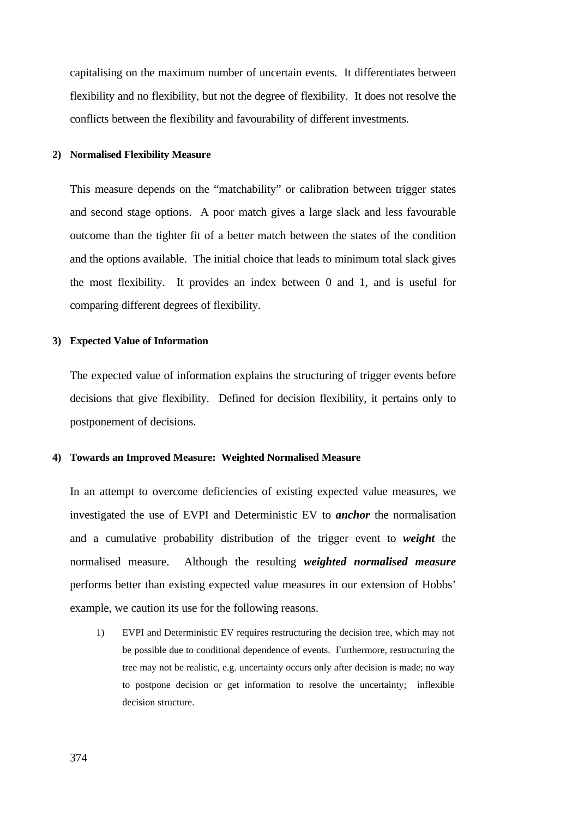capitalising on the maximum number of uncertain events. It differentiates between flexibility and no flexibility, but not the degree of flexibility. It does not resolve the conflicts between the flexibility and favourability of different investments.

#### **2) Normalised Flexibility Measure**

This measure depends on the "matchability" or calibration between trigger states and second stage options. A poor match gives a large slack and less favourable outcome than the tighter fit of a better match between the states of the condition and the options available. The initial choice that leads to minimum total slack gives the most flexibility. It provides an index between 0 and 1, and is useful for comparing different degrees of flexibility.

#### **3) Expected Value of Information**

The expected value of information explains the structuring of trigger events before decisions that give flexibility. Defined for decision flexibility, it pertains only to postponement of decisions.

#### **4) Towards an Improved Measure: Weighted Normalised Measure**

In an attempt to overcome deficiencies of existing expected value measures, we investigated the use of EVPI and Deterministic EV to *anchor* the normalisation and a cumulative probability distribution of the trigger event to *weight* the normalised measure. Although the resulting *weighted normalised measure* performs better than existing expected value measures in our extension of Hobbs' example, we caution its use for the following reasons.

1) EVPI and Deterministic EV requires restructuring the decision tree, which may not be possible due to conditional dependence of events. Furthermore, restructuring the tree may not be realistic, e.g. uncertainty occurs only after decision is made; no way to postpone decision or get information to resolve the uncertainty; inflexible decision structure.